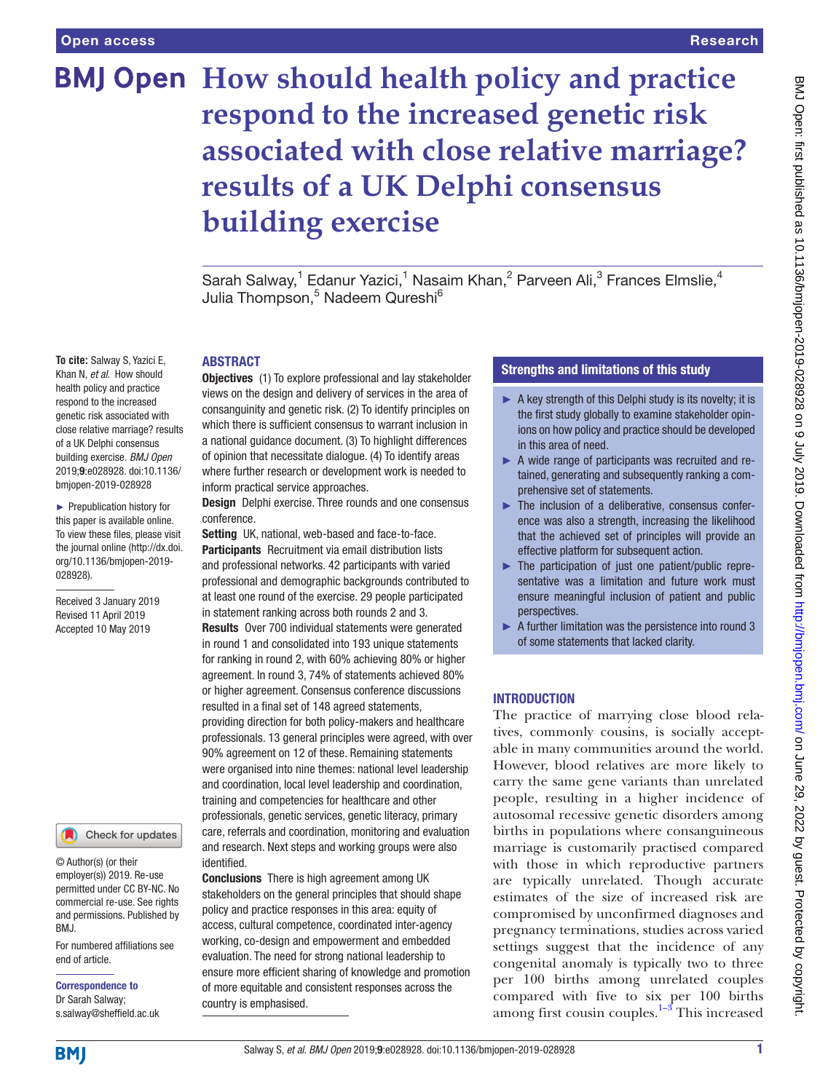**To cite:** Salway S, Yazici E, Khan N, *et al*. How should health policy and practice respond to the increased genetic risk associated with close relative marriage? results of a UK Delphi consensus building exercise. *BMJ Open* 2019;9:e028928. doi:10.1136/ bmjopen-2019-028928 ► Prepublication history for this paper is available online. To view these files, please visit the journal online (http://dx.doi. org/10.1136/bmjopen-2019-

# **BMJ Open How should health policy and practice respond to the increased genetic risk associated with close relative marriage? results of a UK Delphi consensus building exercise**

Sarah Salway,<sup>1</sup> Edanur Yazici,<sup>1</sup> Nasaim Khan,<sup>2</sup> Parveen Ali,<sup>3</sup> Frances Elmslie,<sup>4</sup> Julia Thompson,<sup>5</sup> Nadeem Qureshi<sup>6</sup>

### **ABSTRACT**

Objectives (1) To explore professional and lay stakeholder views on the design and delivery of services in the area of consanguinity and genetic risk. (2) To identify principles on which there is sufficient consensus to warrant inclusion in a national guidance document. (3) To highlight differences of opinion that necessitate dialogue. (4) To identify areas where further research or development work is needed to inform practical service approaches.

**Design** Delphi exercise. Three rounds and one consensus conference.

Setting UK, national, web-based and face-to-face. Participants Recruitment via email distribution lists and professional networks. 42 participants with varied professional and demographic backgrounds contributed to at least one round of the exercise. 29 people participated in statement ranking across both rounds 2 and 3. Results Over 700 individual statements were generated in round 1 and consolidated into 193 unique statements for ranking in round 2, with 60% achieving 80% or higher agreement. In round 3, 74% of statements achieved 80% or higher agreement. Consensus conference discussions resulted in a final set of 148 agreed statements, providing direction for both policy-makers and healthcare professionals. 13 general principles were agreed, with over 90% agreement on 12 of these. Remaining statements were organised into nine themes: national level leadership and coordination, local level leadership and coordination, training and competencies for healthcare and other professionals, genetic services, genetic literacy, primary care, referrals and coordination, monitoring and evaluation and research. Next steps and working groups were also identified.

Conclusions There is high agreement among UK stakeholders on the general principles that should shape policy and practice responses in this area: equity of access, cultural competence, coordinated inter-agency working, co-design and empowerment and embedded evaluation. The need for strong national leadership to ensure more efficient sharing of knowledge and promotion of more equitable and consistent responses across the country is emphasised.

### Strengths and limitations of this study

- $\blacktriangleright$  A key strength of this Delphi study is its novelty; it is the first study globally to examine stakeholder opinions on how policy and practice should be developed in this area of need.
- ► A wide range of participants was recruited and retained, generating and subsequently ranking a comprehensive set of statements.
- $\blacktriangleright$  The inclusion of a deliberative, consensus conference was also a strength, increasing the likelihood that the achieved set of principles will provide an effective platform for subsequent action.
- ► The participation of just one patient/public representative was a limitation and future work must ensure meaningful inclusion of patient and public perspectives.
- ► A further limitation was the persistence into round 3 of some statements that lacked clarity.

### **INTRODUCTION**

The practice of marrying close blood relatives, commonly cousins, is socially acceptable in many communities around the world. However, blood relatives are more likely to carry the same gene variants than unrelated people, resulting in a higher incidence of autosomal recessive genetic disorders among births in populations where consanguineous marriage is customarily practised compared with those in which reproductive partners are typically unrelated. Though accurate estimates of the size of increased risk are compromised by unconfirmed diagnoses and pregnancy terminations, studies across varied settings suggest that the incidence of any congenital anomaly is typically two to three per 100 births among unrelated couples compared with five to six per 100 births among first cousin couples. $1-3$  This increased

© Author(s) (or their employer(s)) 2019. Re-use

028928).

Received 3 January 2019 Revised 11 April 2019 Accepted 10 May 2019

permitted under CC BY-NC. No commercial re-use. See rights and permissions. Published by BMJ.

Check for updates

For numbered affiliations see end of article.

Correspondence to Dr Sarah Salway; s.salway@sheffield.ac.uk

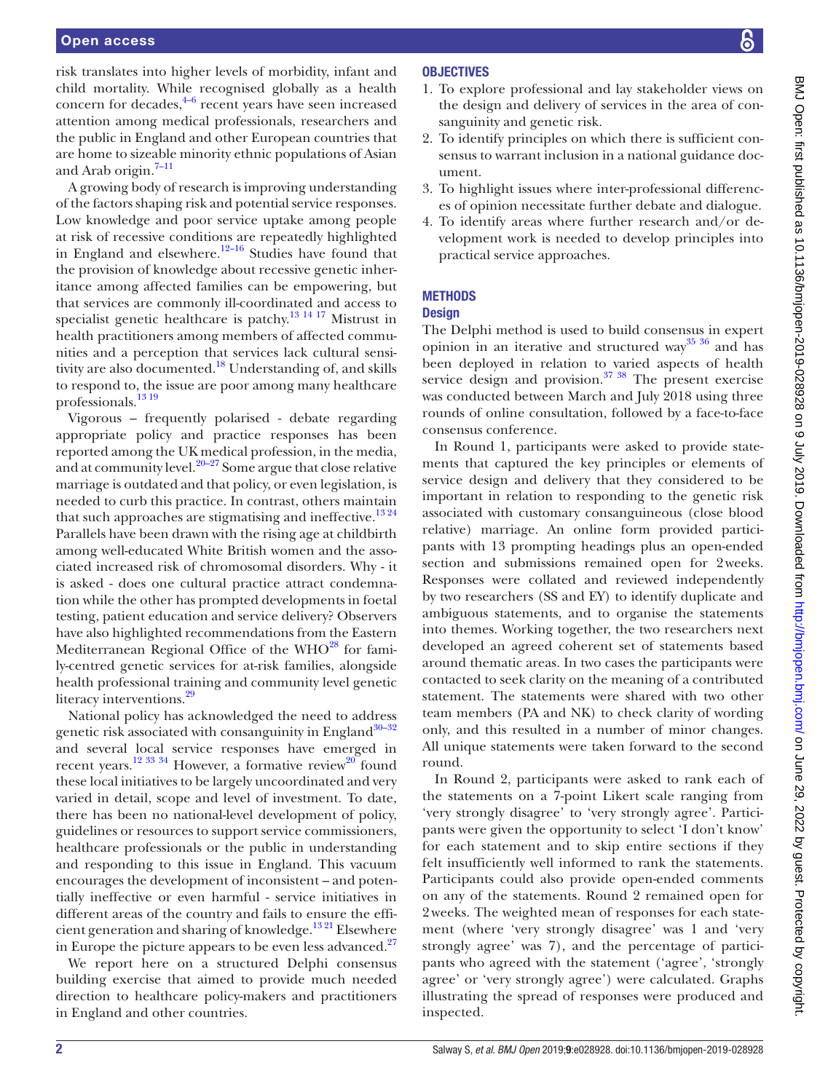risk translates into higher levels of morbidity, infant and child mortality. While recognised globally as a health concern for decades, $4-6$  recent years have seen increased attention among medical professionals, researchers and the public in England and other European countries that are home to sizeable minority ethnic populations of Asian and Arab origin. $7-11$ 

A growing body of research is improving understanding of the factors shaping risk and potential service responses. Low knowledge and poor service uptake among people at risk of recessive conditions are repeatedly highlighted in England and elsewhere. $12-16$  Studies have found that the provision of knowledge about recessive genetic inheritance among affected families can be empowering, but that services are commonly ill-coordinated and access to specialist genetic healthcare is patchy.<sup>13 14 17</sup> Mistrust in health practitioners among members of affected communities and a perception that services lack cultural sensitivity are also documented. $18$  Understanding of, and skills to respond to, the issue are poor among many healthcare professionals[.13 19](#page-22-4)

Vigorous – frequently polarised - debate regarding appropriate policy and practice responses has been reported among the UK medical profession, in the media, and at community level. $20-27$  Some argue that close relative marriage is outdated and that policy, or even legislation, is needed to curb this practice. In contrast, others maintain that such approaches are stigmatising and ineffective.<sup>[13 24](#page-22-4)</sup> Parallels have been drawn with the rising age at childbirth among well-educated White British women and the associated increased risk of chromosomal disorders. Why - it is asked - does one cultural practice attract condemnation while the other has prompted developments in foetal testing, patient education and service delivery? Observers have also highlighted recommendations from the Eastern Mediterranean Regional Office of the WHO $^{28}$  for family-centred genetic services for at-risk families, alongside health professional training and community level genetic literacy interventions.<sup>[29](#page-23-3)</sup>

National policy has acknowledged the need to address genetic risk associated with consanguinity in England $30-32$ and several local service responses have emerged in recent years.<sup>12 33</sup> <sup>34</sup> However, a formative review<sup>20</sup> found these local initiatives to be largely uncoordinated and very varied in detail, scope and level of investment. To date, there has been no national-level development of policy, guidelines or resources to support service commissioners, healthcare professionals or the public in understanding and responding to this issue in England. This vacuum encourages the development of inconsistent – and potentially ineffective or even harmful - service initiatives in different areas of the country and fails to ensure the efficient generation and sharing of knowledge.<sup>1321</sup> Elsewhere in Europe the picture appears to be even less advanced. $27$ 

We report here on a structured Delphi consensus building exercise that aimed to provide much needed direction to healthcare policy-makers and practitioners in England and other countries.

### **OBJECTIVES**

- 1. To explore professional and lay stakeholder views on the design and delivery of services in the area of consanguinity and genetic risk.
- 2. To identify principles on which there is sufficient consensus to warrant inclusion in a national guidance document.
- 3. To highlight issues where inter-professional differences of opinion necessitate further debate and dialogue.
- 4. To identify areas where further research and/or development work is needed to develop principles into practical service approaches.

### **METHODS**

### **Design**

The Delphi method is used to build consensus in expert opinion in an iterative and structured way<sup>[35 36](#page-23-6)</sup> and has been deployed in relation to varied aspects of health service design and provision. $37 \frac{38}{10}$  The present exercise was conducted between March and July 2018 using three rounds of online consultation, followed by a face-to-face consensus conference.

In Round 1, participants were asked to provide statements that captured the key principles or elements of service design and delivery that they considered to be important in relation to responding to the genetic risk associated with customary consanguineous (close blood relative) marriage. An online form provided participants with 13 prompting headings plus an open-ended section and submissions remained open for 2weeks. Responses were collated and reviewed independently by two researchers (SS and EY) to identify duplicate and ambiguous statements, and to organise the statements into themes. Working together, the two researchers next developed an agreed coherent set of statements based around thematic areas. In two cases the participants were contacted to seek clarity on the meaning of a contributed statement. The statements were shared with two other team members (PA and NK) to check clarity of wording only, and this resulted in a number of minor changes. All unique statements were taken forward to the second round.

In Round 2, participants were asked to rank each of the statements on a 7-point Likert scale ranging from 'very strongly disagree' to 'very strongly agree'. Participants were given the opportunity to select 'I don't know' for each statement and to skip entire sections if they felt insufficiently well informed to rank the statements. Participants could also provide open-ended comments on any of the statements. Round 2 remained open for 2weeks. The weighted mean of responses for each statement (where 'very strongly disagree' was 1 and 'very strongly agree' was 7), and the percentage of participants who agreed with the statement ('agree', 'strongly agree' or 'very strongly agree') were calculated. Graphs illustrating the spread of responses were produced and inspected.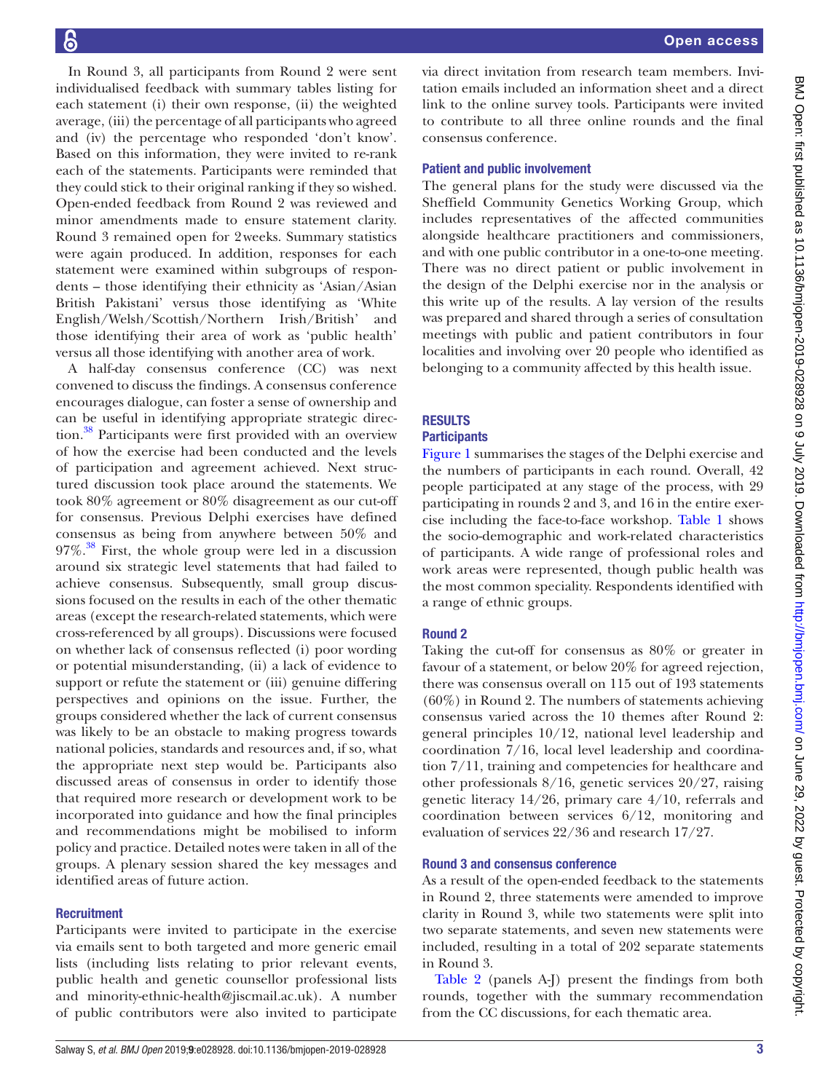individualised feedback with summary tables listing for each statement (i) their own response, (ii) the weighted average, (iii) the percentage of all participants who agreed and (iv) the percentage who responded 'don't know'. Based on this information, they were invited to re-rank each of the statements. Participants were reminded that they could stick to their original ranking if they so wished. Open-ended feedback from Round 2 was reviewed and minor amendments made to ensure statement clarity. Round 3 remained open for 2weeks. Summary statistics were again produced. In addition, responses for each statement were examined within subgroups of respondents – those identifying their ethnicity as 'Asian/Asian British Pakistani' versus those identifying as 'White English/Welsh/Scottish/Northern Irish/British' and those identifying their area of work as 'public health' versus all those identifying with another area of work. A half-day consensus conference (CC) was next convened to discuss the findings. A consensus conference encourages dialogue, can foster a sense of ownership and can be useful in identifying appropriate strategic direcconsensus conference. **RESULTS Participants** 

tion.[38](#page-23-8) Participants were first provided with an overview of how the exercise had been conducted and the levels of participation and agreement achieved. Next structured discussion took place around the statements. We took 80% agreement or 80% disagreement as our cut-off for consensus. Previous Delphi exercises have defined consensus as being from anywhere between 50% and  $97\%$ <sup>38</sup> First, the whole group were led in a discussion around six strategic level statements that had failed to achieve consensus. Subsequently, small group discussions focused on the results in each of the other thematic areas (except the research-related statements, which were cross-referenced by all groups). Discussions were focused on whether lack of consensus reflected (i) poor wording or potential misunderstanding, (ii) a lack of evidence to support or refute the statement or (iii) genuine differing perspectives and opinions on the issue. Further, the groups considered whether the lack of current consensus was likely to be an obstacle to making progress towards national policies, standards and resources and, if so, what the appropriate next step would be. Participants also discussed areas of consensus in order to identify those that required more research or development work to be incorporated into guidance and how the final principles and recommendations might be mobilised to inform policy and practice. Detailed notes were taken in all of the groups. A plenary session shared the key messages and identified areas of future action.

In Round 3, all participants from Round 2 were sent

### **Recruitment**

Participants were invited to participate in the exercise via emails sent to both targeted and more generic email lists (including lists relating to prior relevant events, public health and genetic counsellor professional lists and minority-ethnic-health@jiscmail.ac.uk). A number of public contributors were also invited to participate

via direct invitation from research team members. Invitation emails included an information sheet and a direct link to the online survey tools. Participants were invited to contribute to all three online rounds and the final

### Patient and public involvement

The general plans for the study were discussed via the Sheffield Community Genetics Working Group, which includes representatives of the affected communities alongside healthcare practitioners and commissioners, and with one public contributor in a one-to-one meeting. There was no direct patient or public involvement in the design of the Delphi exercise nor in the analysis or this write up of the results. A lay version of the results was prepared and shared through a series of consultation meetings with public and patient contributors in four localities and involving over 20 people who identified as belonging to a community affected by this health issue.

[Figure](#page-3-0) 1 summarises the stages of the Delphi exercise and the numbers of participants in each round. Overall, 42 people participated at any stage of the process, with 29 participating in rounds 2 and 3, and 16 in the entire exercise including the face-to-face workshop. [Table](#page-4-0) 1 shows the socio-demographic and work-related characteristics of participants. A wide range of professional roles and work areas were represented, though public health was the most common speciality. Respondents identified with a range of ethnic groups.

### Round 2

Taking the cut-off for consensus as 80% or greater in favour of a statement, or below 20% for agreed rejection, there was consensus overall on 115 out of 193 statements (60%) in Round 2. The numbers of statements achieving consensus varied across the 10 themes after Round 2: general principles 10/12, national level leadership and coordination 7/16, local level leadership and coordination 7/11, training and competencies for healthcare and other professionals 8/16, genetic services 20/27, raising genetic literacy 14/26, primary care 4/10, referrals and coordination between services 6/12, monitoring and evaluation of services 22/36 and research 17/27.

### Round 3 and consensus conference

As a result of the open-ended feedback to the statements in Round 2, three statements were amended to improve clarity in Round 3, while two statements were split into two separate statements, and seven new statements were included, resulting in a total of 202 separate statements in Round 3.

[Table](#page-5-0) 2 (panels A-J) present the findings from both rounds, together with the summary recommendation from the CC discussions, for each thematic area.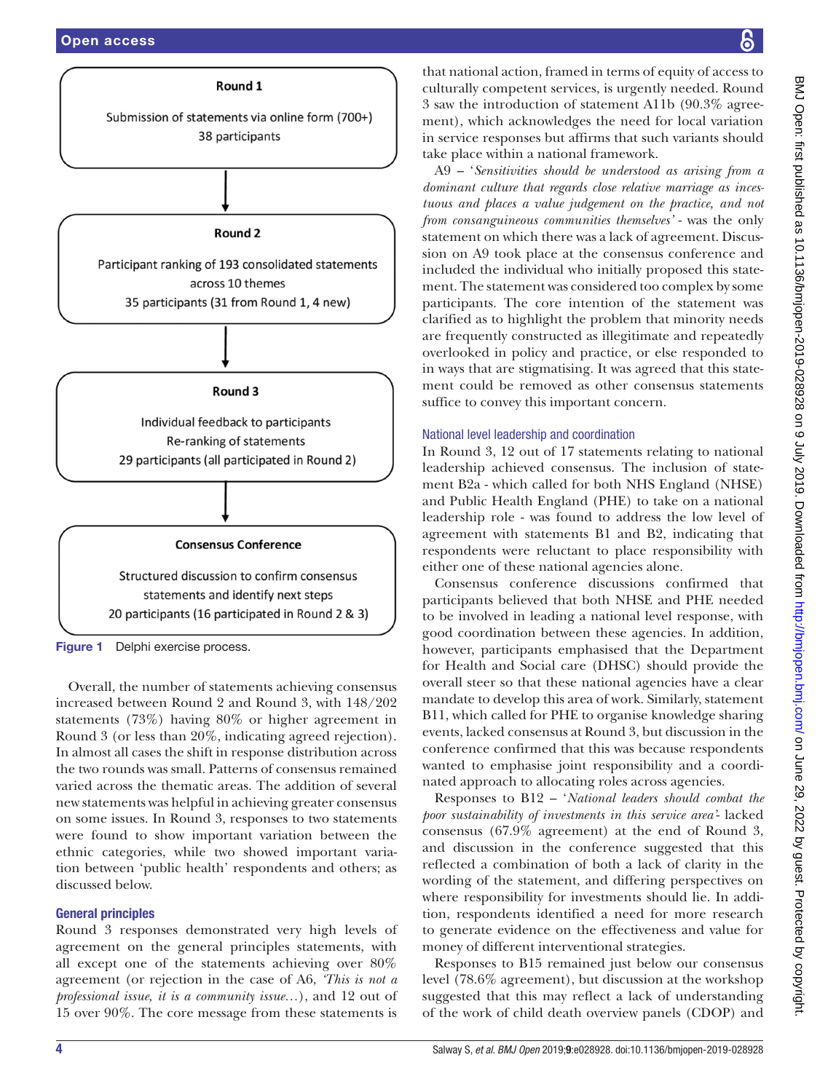

20 participants (16 participated in Round 2 & 3)

<span id="page-3-0"></span>Figure 1 Delphi exercise process.

Overall, the number of statements achieving consensus increased between Round 2 and Round 3, with 148/202 statements (73%) having 80% or higher agreement in Round 3 (or less than 20%, indicating agreed rejection). In almost all cases the shift in response distribution across the two rounds was small. Patterns of consensus remained varied across the thematic areas. The addition of several new statements was helpful in achieving greater consensus on some issues. In Round 3, responses to two statements were found to show important variation between the ethnic categories, while two showed important variation between 'public health' respondents and others; as discussed below.

### General principles

Round 3 responses demonstrated very high levels of agreement on the general principles statements, with all except one of the statements achieving over 80% agreement (or rejection in the case of A6, *'This is not a professional issue, it is a community issue…*), and 12 out of 15 over 90%. The core message from these statements is

that national action, framed in terms of equity of access to culturally competent services, is urgently needed. Round 3 saw the introduction of statement A11b (90.3% agreement), which acknowledges the need for local variation in service responses but affirms that such variants should take place within a national framework.

A9 – '*Sensitivities should be understood as arising from a dominant culture that regards close relative marriage as incestuous and places a value judgement on the practice, and not from consanguineous communities themselves'* - was the only statement on which there was a lack of agreement. Discussion on A9 took place at the consensus conference and included the individual who initially proposed this statement. The statement was considered too complex by some participants. The core intention of the statement was clarified as to highlight the problem that minority needs are frequently constructed as illegitimate and repeatedly overlooked in policy and practice, or else responded to in ways that are stigmatising. It was agreed that this statement could be removed as other consensus statements suffice to convey this important concern.

### National level leadership and coordination

In Round 3, 12 out of 17 statements relating to national leadership achieved consensus. The inclusion of statement B2a - which called for both NHS England (NHSE) and Public Health England (PHE) to take on a national leadership role - was found to address the low level of agreement with statements B1 and B2, indicating that respondents were reluctant to place responsibility with either one of these national agencies alone.

Consensus conference discussions confirmed that participants believed that both NHSE and PHE needed to be involved in leading a national level response, with good coordination between these agencies. In addition, however, participants emphasised that the Department for Health and Social care (DHSC) should provide the overall steer so that these national agencies have a clear mandate to develop this area of work. Similarly, statement B11, which called for PHE to organise knowledge sharing events, lacked consensus at Round 3, but discussion in the conference confirmed that this was because respondents wanted to emphasise joint responsibility and a coordinated approach to allocating roles across agencies.

Responses to B12 – '*National leaders should combat the poor sustainability of investments in this service area'*- lacked consensus (67.9% agreement) at the end of Round 3, and discussion in the conference suggested that this reflected a combination of both a lack of clarity in the wording of the statement, and differing perspectives on where responsibility for investments should lie. In addition, respondents identified a need for more research to generate evidence on the effectiveness and value for money of different interventional strategies.

Responses to B15 remained just below our consensus level (78.6% agreement), but discussion at the workshop suggested that this may reflect a lack of understanding of the work of child death overview panels (CDOP) and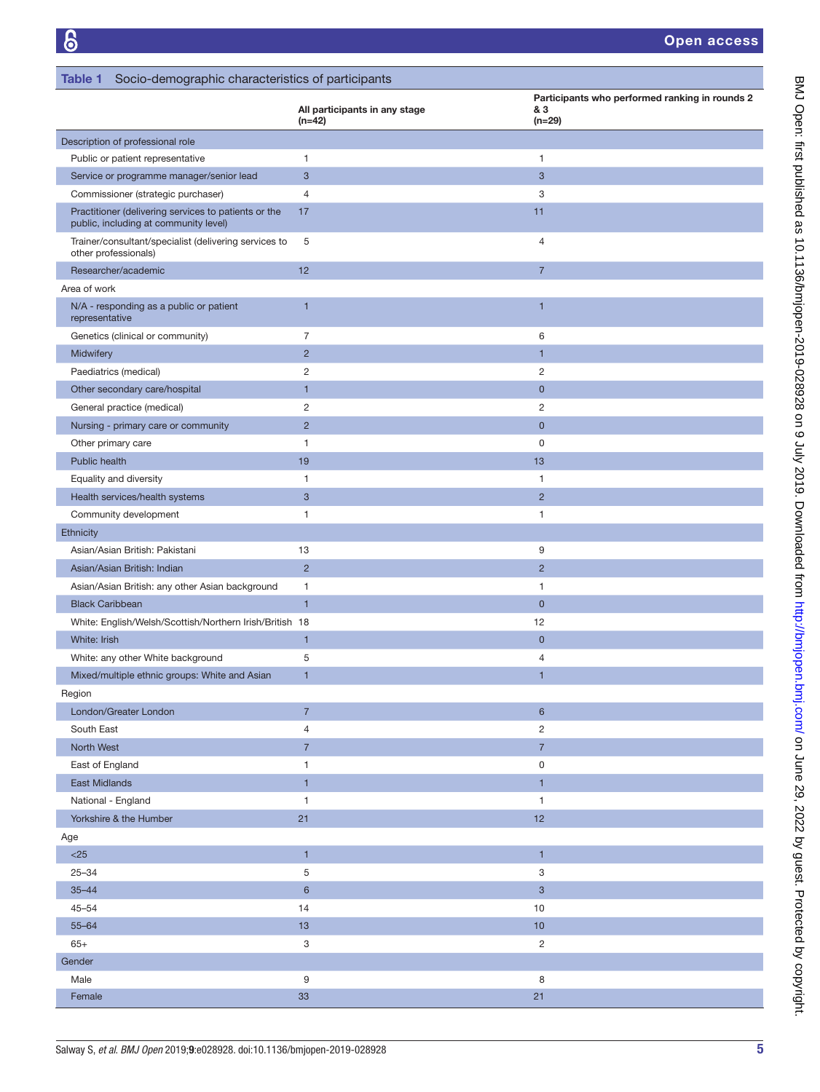<span id="page-4-0"></span>

|                                                                                               | All participants in any stage<br>$(n=42)$ | Participants who performed ranking in rounds 2<br>& 3<br>$(n=29)$ |
|-----------------------------------------------------------------------------------------------|-------------------------------------------|-------------------------------------------------------------------|
| Description of professional role                                                              |                                           |                                                                   |
| Public or patient representative                                                              | $\mathbf{1}$                              | 1                                                                 |
| Service or programme manager/senior lead                                                      | $\mathbf{3}$                              | 3                                                                 |
| Commissioner (strategic purchaser)                                                            | $\overline{4}$                            | 3                                                                 |
| Practitioner (delivering services to patients or the<br>public, including at community level) | 17                                        | 11                                                                |
| Trainer/consultant/specialist (delivering services to<br>other professionals)                 | 5                                         | $\overline{4}$                                                    |
| Researcher/academic                                                                           | 12                                        | $\overline{7}$                                                    |
| Area of work                                                                                  |                                           |                                                                   |
| N/A - responding as a public or patient<br>representative                                     | $\overline{1}$                            | $\mathbf{1}$                                                      |
| Genetics (clinical or community)                                                              | $\overline{7}$                            | 6                                                                 |
| <b>Midwifery</b>                                                                              | $\overline{2}$                            | $\mathbf{1}$                                                      |
| Paediatrics (medical)                                                                         | $\overline{c}$                            | $\overline{c}$                                                    |
| Other secondary care/hospital                                                                 | $\mathbf{1}$                              | $\mathbf 0$                                                       |
| General practice (medical)                                                                    | $\sqrt{2}$                                | $\overline{c}$                                                    |
| Nursing - primary care or community                                                           | $\overline{2}$                            | $\mathbf{0}$                                                      |
| Other primary care                                                                            | 1                                         | 0                                                                 |
| Public health                                                                                 | 19                                        | 13                                                                |
| Equality and diversity                                                                        | $\mathbf{1}$                              | 1                                                                 |
| Health services/health systems                                                                | $\mathbf{3}$                              | $\overline{2}$                                                    |
| Community development                                                                         | $\mathbf{1}$                              | 1                                                                 |
| Ethnicity                                                                                     |                                           |                                                                   |
| Asian/Asian British: Pakistani                                                                | 13                                        | 9                                                                 |
| Asian/Asian British: Indian                                                                   | $\overline{2}$                            | $\overline{2}$                                                    |
| Asian/Asian British: any other Asian background                                               | $\mathbf{1}$                              | 1                                                                 |
| <b>Black Caribbean</b>                                                                        | $\overline{1}$                            | $\mathbf 0$                                                       |
| White: English/Welsh/Scottish/Northern Irish/British 18                                       |                                           | 12                                                                |
| White: Irish                                                                                  | $\mathbf{1}$                              | $\mathbf{0}$                                                      |
| White: any other White background                                                             | 5                                         | $\overline{4}$                                                    |
| Mixed/multiple ethnic groups: White and Asian                                                 | $\mathbf{1}$                              | 1                                                                 |
| Region                                                                                        |                                           |                                                                   |
| London/Greater London                                                                         | $\overline{7}$                            | $6\phantom{a}$                                                    |
| South East                                                                                    | $\overline{4}$                            | $\overline{2}$                                                    |
| North West                                                                                    | $\overline{7}$                            | $\overline{7}$                                                    |
| East of England                                                                               | $\mathbf{1}$                              | 0                                                                 |
| <b>East Midlands</b>                                                                          | $\mathbf{1}$                              | $\mathbf{1}$                                                      |
| National - England                                                                            | $\mathbf{1}$                              | 1                                                                 |
| Yorkshire & the Humber                                                                        | 21                                        | 12                                                                |
| Age                                                                                           |                                           |                                                                   |
| <25                                                                                           | $\mathbf{1}$                              | $\mathbf{1}$                                                      |
| $25 - 34$                                                                                     | 5                                         | 3                                                                 |
| $35 - 44$                                                                                     | $\,6\,$                                   | 3                                                                 |
| $45 - 54$                                                                                     | 14                                        | 10                                                                |
| $55 - 64$                                                                                     | 13                                        | 10                                                                |
| $65+$                                                                                         | 3                                         | $\overline{c}$                                                    |
| Gender                                                                                        |                                           |                                                                   |
| Male                                                                                          | 9                                         | 8                                                                 |
|                                                                                               |                                           |                                                                   |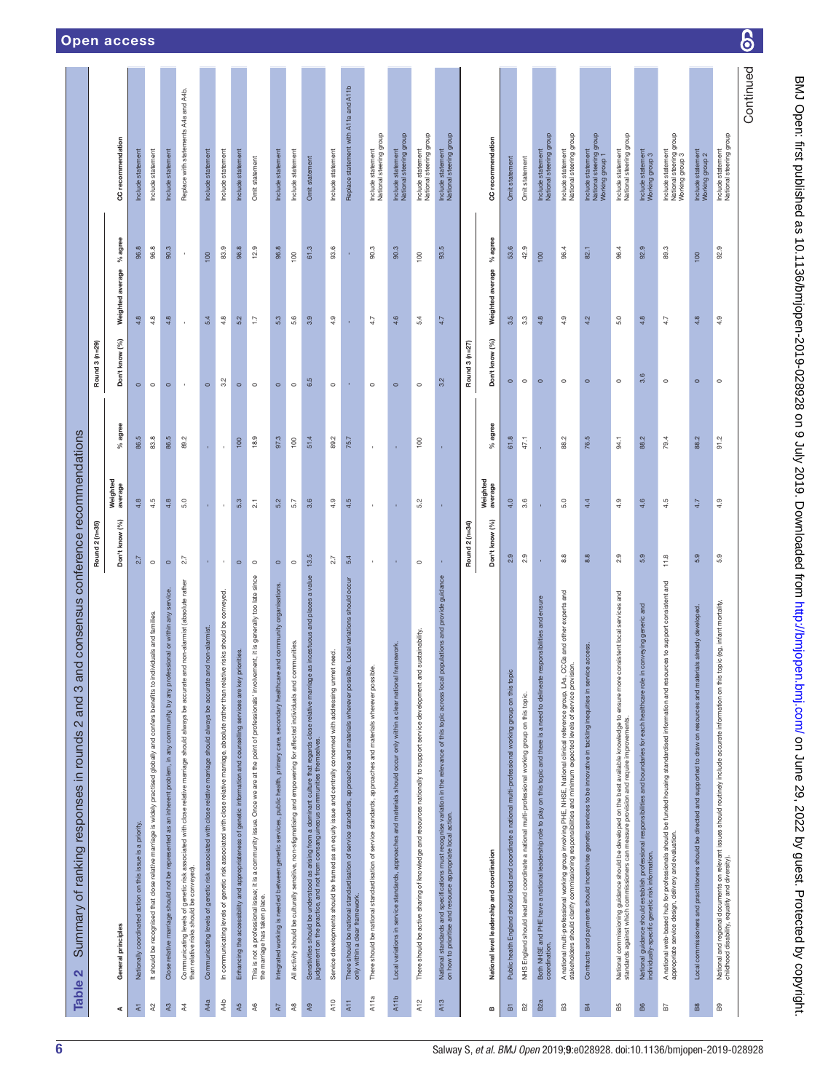<span id="page-5-0"></span>

| <b>Table</b>        | and consensus conference recommendations<br>S<br>and<br>Summary of ranking responses in rounds 2<br>$\mathbf{\Omega}$                                                                                                            |                     |                              |              |                |                  |                  |                                                                 |  |
|---------------------|----------------------------------------------------------------------------------------------------------------------------------------------------------------------------------------------------------------------------------|---------------------|------------------------------|--------------|----------------|------------------|------------------|-----------------------------------------------------------------|--|
|                     |                                                                                                                                                                                                                                  | Round 2 (n=35       |                              |              | Round 3 (n=29  |                  |                  |                                                                 |  |
| ⋖                   | General principles                                                                                                                                                                                                               | Don't know (%)      | Weighted<br>average          | $%$ agree    | Don't know (%) | Weighted average | $%$ agree        | CC recommendation                                               |  |
| $\overline{\kappa}$ | Nationally coordinated action on this issue is a priority                                                                                                                                                                        | $\overline{2.7}$    | 86.5<br>4.8                  | $\circ$      |                | 4.8              | 96.8             |                                                                 |  |
| $\approx$           | it should be recognised that close relative marriage is widely practised globally and confers benefits to individuals and families                                                                                               | $\circ$             | 83.8<br>4.5                  | $\circ$      |                | 4.8              | 96.8             | Include statement                                               |  |
| $\approx$           | service.<br>Close relative marriage should not be represented as an inherent problem, in any community, by any professional or within any                                                                                        | $\circ$             | 86.5<br>4.8                  | $\circ$      |                | 4.8              | 90.3             | Include statement                                               |  |
| ₹                   | Communicating levels of genetic risk associated with close relative marriage should always be accurate and non-alarmist (absolute rather<br>than relative risks should be conveyed).                                             | 2.7                 | 89.2<br>5.0                  |              | $\mathbf{I}$   | $\mathbf{r}$     | $\mathbf{I}$     | Replace with statements A4a and A4b.                            |  |
| A4a                 | Communicating levels of genetic risk associated with close relative marriage should always be accurate and non-alarmist                                                                                                          | $\mathbf{r}$        |                              | $\circ$      |                | 5.4              | 100              | Include statement                                               |  |
| A4b                 | In communicating levels of genetic risk associated with close relative marriage, absolute rather than relative risks should be conveyed.                                                                                         | $\mathbf{r}$        | $\mathbf{r}$<br>$\mathbf{r}$ |              | 3.2            | 4.8              | 83.9             | Include statement                                               |  |
| A5                  | y prioriti<br>Enhancing the accessibility and appropriateness of genetic information and counselling services are key                                                                                                            | $\circ$             | 100<br>5.3                   | $\circ$      |                | 5.2              | 96.8             | Include statement                                               |  |
| $\lambda$ 6         | This is not a professional issue; it is a community issue. Once we are at the point of professionals ' involvement, it is generally too late since<br>the marriage has taken place.                                              | $\circ$             | 18.9<br>$\overline{21}$      | $\circ$      |                | $\frac{7}{11}$   | 12.9             | Omit statement                                                  |  |
| $\overline{A}$      | Integrated working is needed between genetic services, public health, primary care, secondary healthcare and community organisations.                                                                                            | $\circ$             | 97.3<br>5.2                  | $\circ$      |                | 5.3              | 96.8             | Include statement                                               |  |
| æ                   | communities.<br>All activity should be culturally sensitive, non-stigmatising and empowering for affected individuals and                                                                                                        | $\circ$             | 100<br>57                    | $\circ$      |                | 5.6              | 100              | Include statement                                               |  |
| $\overline{a}$      | Senstivities should be understood as arising from a dominant culture that regards close relative marriage as incestuous and places a value<br>judgement on the practice, and not from consanguineous communities themselves.     | $13.5$              | 51.4<br>3.6                  |              | 6.5            | 3.9              | 61.3             | Omit statement                                                  |  |
| A <sub>10</sub>     | Service developments should be framed as an equity issue and centrally concerned with addressing unmet need                                                                                                                      | 2.7                 | 89.2<br>4.9                  | $\circ$      |                | 4.9              | 93.6             | Include statement                                               |  |
| A <sub>11</sub>     | There should be national standardisation of service standards, approaches and materials wherever possible. Local variations should occu<br>only within a clear framework.                                                        | 5.4                 | 75.7<br>4.5                  | $\mathbf{r}$ |                | ×,               |                  | Replace statement with A11a and A11b                            |  |
| A11a                | There should be national standardisation of service standards, approaches and materials wherever possible.                                                                                                                       | $\blacksquare$      | J.<br>×,                     | $\circ$      |                | 4.7              | 90.3             | Include statement<br>National steering group                    |  |
| A <sub>11b</sub>    | Local variations in service standards, approaches and materials should occur only within a clear national framework                                                                                                              |                     |                              | $\circ$      |                | 4.6              | 90.3             | Include statement<br>National steering group                    |  |
| A12                 | and sustainability.<br>There should be active sharing of knowledge and resources nationally to support service development                                                                                                       | $\circ$             | 100<br>5 <sup>2</sup>        | $\circ$      |                | 5.4              | 100              | National steering group<br>Include statement                    |  |
| A13                 | National standards and specifications must recognise variation in the relevance of this topic across local populations and provide guidance<br>on how to prioritise and resource appropriate local action.                       | $\mathcal{A}$       |                              |              | 3.2            | 4.7              | 93.5             | Include statement<br>National steering group                    |  |
|                     |                                                                                                                                                                                                                                  | Round 2 (n=34)      |                              |              | Round 3 (n=27) |                  |                  |                                                                 |  |
| m                   | National level leadership and coordination                                                                                                                                                                                       | Don't know (%)      | Weighted<br>average          | $%$ agree    | Don't know (%) | Weighted average | % agree          | CC recommendation                                               |  |
| ۵                   | $\frac{1}{2}$<br>Public health England should lead and coordinate a national multi-professional working group on this to                                                                                                         | 2.9                 | 61.8<br>4.0                  |              | $\circ$        | 3.5              | 53.6             | Omit statement                                                  |  |
| B <sub>2</sub>      | NHS England should lead and coordinate a national multi-professional working group on this topic.                                                                                                                                | 2.9                 | 47.1<br>3.6                  |              | $\circ$        | $3.3\,$          | 42.9             | Omit statement                                                  |  |
| B <sub>2</sub>      | Both NHSE and PHE have a national leadership role to play on this topic and there is a need to delineate responsibilities and ensure<br>coordination.                                                                            | $\bar{\phantom{a}}$ | $\mathbf{r}$                 |              | $\circ$        | 4.8              | 100              | Include statement<br>National steering group                    |  |
| æ                   | A national multi-professional working group involving PHE, NHSE, National clinical reference group, LAs, CCGs and other experts and<br>stakeholders should clarify commissioning responsibilities and minimum expected levels of | 8.8                 | 88.2<br>5.0                  |              | $\circ$        | 4.9              | 96.4             | National steering group<br>Include statement                    |  |
| $\Xi$               | Contracts and payments should incentivise genetic services to be innovative in tackling inequities in service access                                                                                                             | 8.8                 | 76.5<br>4.4                  |              | $\circ$        | 4.2              | 82.1             | Include statement<br>National steering group<br>Working group 1 |  |
| 56                  | National commissioning guidance should be developed on the best available knowledge to ensure more consistent local services and<br>standards against which commissioners can measure provision and require improvements.        | 2.9                 | 94.1<br>4.9                  |              | $\circ$        | 5.0              | 96.4             | National steering group<br>Include statement                    |  |
| 86                  | National guidance should establish professional responsibilities and boundaries for each healthcare role in conveying generic and<br>individually-specific genetic risk information.                                             | 5.9                 | 88.2<br>4.6                  |              | 3.6            | 4.8              | 92.9             | Include statement<br>Working group 3                            |  |
| ā                   | A national web-based hub for professionals should be funded housing standardised information and resources to support consistent and<br>appropriate service design, delivery and evaluation.                                     | 11.8                | 79.4<br>4.5                  |              | $\circ$        | 4.7              | 89.3             | National steering group<br>Working group 3<br>Include statement |  |
| B <sup>8</sup>      | Local commissioners and practitioners should be directed and supported to draw on resources and materials already developed                                                                                                      | 5.9                 | 88.2<br>4.7                  |              | $\circ$        | 4.8              | $\overline{100}$ | Include statement<br>Working group 2                            |  |
| 68                  | National and regional documents on relevar issues should routinely include accurate information on this topic (eg., infant mortality,<br>childhood disability, equality and diversity).                                          | 5.9                 | 91.2<br>4.9                  |              | $\circ$        | 4.9              | 92.9             | Include statement<br>National steering group                    |  |
|                     |                                                                                                                                                                                                                                  |                     |                              |              |                |                  |                  | Continued                                                       |  |

BMJ Open: first published as 10.1136/bmjopen-2019-028928 on 9 July 2019. Downloaded from <http://bmjopen.bmj.com/> on June 29, 2022 by guest. Protected by copyright.

BMJ Open: first published as 10.1136/bmjopen-2019-028928 on 9 July 2019. Downloaded from http://bmjopen.bmj.com/ on June 29, 2022 by guest. Protected by copyright.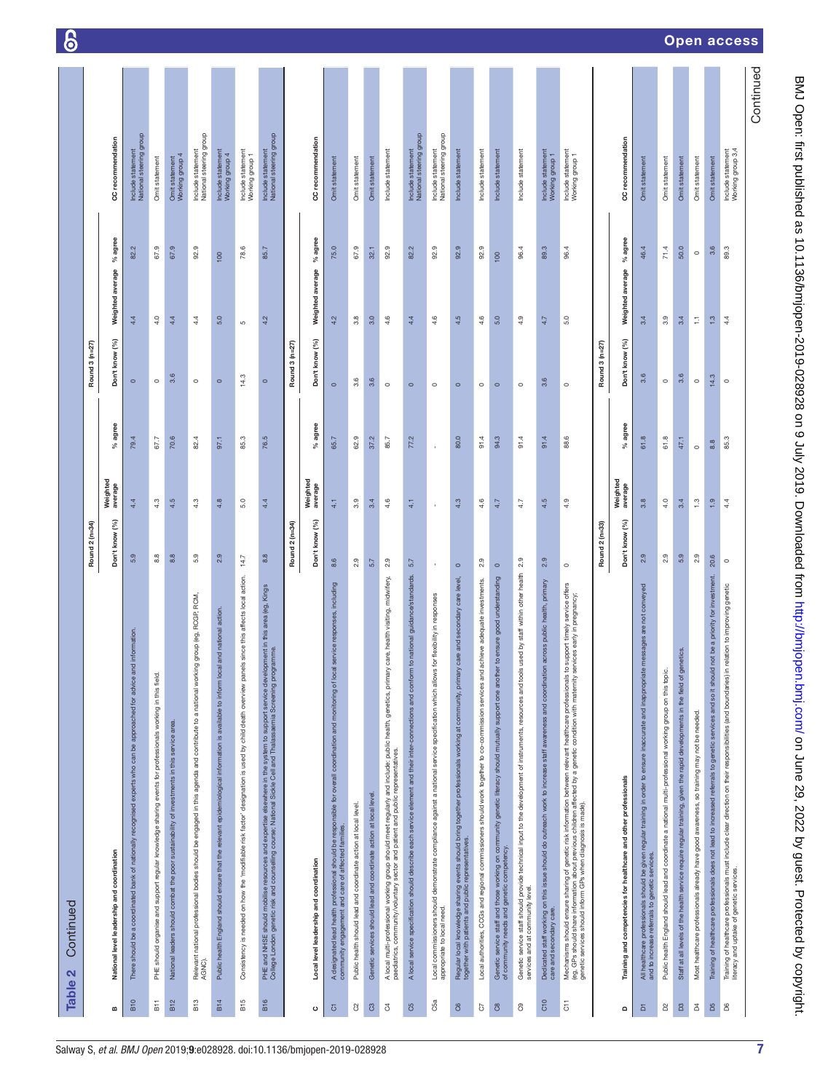| <b>Table</b>    | Continued<br>$\mathbf{\Omega}$                                                                                                                                                                                                                                                                           |                |                     |              |                |                  |               |                                              |
|-----------------|----------------------------------------------------------------------------------------------------------------------------------------------------------------------------------------------------------------------------------------------------------------------------------------------------------|----------------|---------------------|--------------|----------------|------------------|---------------|----------------------------------------------|
|                 |                                                                                                                                                                                                                                                                                                          | Round 2 (n=34) |                     |              | Round 3 (n=27) |                  |               |                                              |
| B               | National level leadership and coordination                                                                                                                                                                                                                                                               | Don't know (%) | Weighted<br>average | % agree      | Don't know (%) | Weighted average | % agree       | CC recommendation                            |
| B10             | and information<br>There should be a coordinated bank of nationally recognised experts who can be approached for advice                                                                                                                                                                                  | 5.9            | 4.4                 | 79.4         | $\circ$        | 4.4              | 82.2          | Include statement<br>National steering group |
| $\overline{5}$  | PHE should organise and support regular knowledge sharing events for professionals working in this field                                                                                                                                                                                                 | 8.8            | 4.3                 | 67.7         | $\circ$        | 4.0              | 67.9          | Omit statement                               |
| B12             | National leaders should combat the poor sustainability of investments in this service area.                                                                                                                                                                                                              | 8.8            | 4.5                 | 70.6         | 3.6            | 4.4              | 67.9          | Omit statement<br>Working group 4            |
| B <sub>13</sub> | Relevant national professional bodies should be engaged in this agenda and contributie to a national working group (eg. RCGP, RCM).<br>AGNC).                                                                                                                                                            | 5.9            | 4.3                 | 82.4         | $\circ$        | 4.4              | 92.9          | National steering group<br>Include statement |
| B14             | and national action<br>cal<br>Public health England should ensure that the relevant epidemiological information is available to inform lo                                                                                                                                                                | 2.9            | 4.8                 | 97.1         | $\circ$        | 5.0              | $\frac{8}{2}$ | Include statement<br>Working group 4         |
| B <sub>15</sub> | nels since this affects local action.<br>Consistency is needed on how the 'modifiable risk factor' designation is used by child death overview pa                                                                                                                                                        | 14.7           | 5.0                 | 85.3         | 14.3           | S                | 78.6          | Include statement<br>Working group 1         |
| <b>B16</b>      | lopment in this area (eg, Kings<br>PHE and NHSE should mobilise resources and expertise elsewhere in the system to support service development i<br>College London genetic risk and counselling course; National Sickle Cell and Thalassaemia Screening programme.                                       | 8.8            | 4.4                 | 76.5         | $\circ$        | 4.2              | 85.           | Include statement<br>National steering group |
|                 |                                                                                                                                                                                                                                                                                                          | Round 2 (n=34) |                     |              | Round 3 (n=27) |                  |               |                                              |
| $\circ$         | Local level leadership and coordination                                                                                                                                                                                                                                                                  | Don't know (%) | Weighted<br>average | % agree      | Don't know (%) | Weighted average | $%$ agree     | CC recommendation                            |
| 5               | A designated lead health professional should be responsible for overall coordination and monitoring of local service responses, including<br>community engagement and care of affected families.                                                                                                         | 8.6            | 4.1                 | 65.7         | $\circ$        | 4.2              | 75.0          | Omit statement                               |
| S,              | Public health should lead and coordinate action at local level.                                                                                                                                                                                                                                          | 2.9            | 3.9                 | 62.9         | 3.6            | 3.8              | 67.9          | Omit statement                               |
| $\mathbbm{S}$   | Genetic services should lead and coordinate action at local level                                                                                                                                                                                                                                        | 5.7            | 3.4                 | 37.2         | 3.6            | 3.0              | 32.1          | Omit statement                               |
| 3               | A local mult-professional working group should meet regularly and include; public health, genetics, primary care, health visiting, midwifery,<br>paediatics, community/voluntary sector and patient and public representatives.                                                                          | 2.9            | 4.6                 | 85.7         | $\circ$        | 4.6              | 92.9          | Include statement                            |
| රි              | A local service specification should describe each service element and their inter-connections and conform to national guidance/standards.                                                                                                                                                               | 57             | 41                  | 77.2         | $\circ$        | 4.4              | 82.2          | Include statement<br>National steering group |
| C5a             | Local commissioners should demonstrate compliance against a national service specification which allows for flexibility in responses<br>appropriate to local need.                                                                                                                                       | $\mathbf{r}$   | $\mathbf{I}$        | $\mathbf{I}$ | $\circ$        | 4.6              | 92.9          | National steering group<br>Include statement |
| °               | Regular local knowledge sharing events should bring together professionals working at community, primary care and secondary care level,<br>together with patients and public representatives.                                                                                                            | $\circ$        | 4.3                 | 80.0         | $\circ$        | 4.5              | 92.9          | Include statement                            |
| 5               | Local authorities, CCGs and regional commissioners should work together to co-commission services and achieve adequate investments.                                                                                                                                                                      | 2.9            | 4.6                 | 91.4         | $\circ$        | 4.6              | 92.9          | Include statement                            |
| ී               | Genetic service staff and those working on community genetic literacy should mutually support one another to ensure good understanding<br>of community needs and genetic competency                                                                                                                      | $\circ$        | 4.7                 | 94.3         | $\circ$        | 5.0              | 100           | Include statement                            |
| ී               | Genetic service staff should provide technical input to the development of instruments, resources and tools used by staff within other health<br>services and at community level.                                                                                                                        | 2.9            | $\overline{11}$     | 91.4         | $\circ$        | 4.9              | 96.4          | Include statement                            |
| C <sub>10</sub> | ion across public health, primary<br>Dedicated staff working on this issue should do outreach work to increase staff awareness and coordinat<br>care and secondary care                                                                                                                                  | 2.9            | 4.5                 | 91.4         | 3.6            | 4.7              | 89.3          | Include statement<br>Working group 1         |
| $\overline{5}$  | to support timely service offers<br>services early in pregnancy;<br>Medianisms should ersure sharing of genetic rick information between nelevant healthcare professionals<br>genetic services should inform GPs when diagnosis is made).<br>genetic services should inform GPs when diagnosis is made). | $\circ$        | 4.9                 | 88.6         | $\circ$        | 5.0              | 96.4          | Include statement<br>Working group 1         |
|                 |                                                                                                                                                                                                                                                                                                          | Round 2 (n=33) |                     |              | Round 3 (n=27) |                  |               |                                              |
| $\mathsf{d}$    | Training and competencies for healthcare and other professionals                                                                                                                                                                                                                                         | Don't know (%) | Weighted<br>average | agree<br>℅   | Don't know (%) | Weighted average | % agree       | CC recommendation                            |
| δ               | All healthcare professionals should be given regular training in order to ensure inaccurate and inappropriate messages are not conveyed<br>and to increase referrals to genetic services.                                                                                                                | 2.9            | 3.8                 | 61.8         | 3.6            | 3.4              | 46.4          | Omit statement                               |
| $\square$       | Public health England should lead and coordinate a national multi-professional working group on this topic.                                                                                                                                                                                              | 2.9            | 4.0                 | 61.8         | $\circ$        | 3.9              | 71.4          | Omit statement                               |
| $\mathbbm{S}$   | f genetics.<br>Staff at all levels of the health service require regular training, given the rapid developments in the field of                                                                                                                                                                          | 5.9            | 3.4                 | 47.1         | 3.6            | 3.4              | 50.0          | Omit statement                               |
| $\Xi$           | Most healthcare professionals already have good awareness, so training may not be needed.                                                                                                                                                                                                                | 2.9            | $\frac{3}{2}$       | $\circ$      | $\circ$        | ÷.               | $\circ$       | Omit statement                               |
| D <sub>5</sub>  | Training of healthcare professionals does not lead to increased referrals to genetic services and so it should not be a priority for investment.                                                                                                                                                         | 20.6           | 1.9                 | 8.8          | 14.3           | 1.3              | 3.6           | Omit statement                               |
| B <sub>6</sub>  | Training of healthcare professionals must include clear direction on their responsibilities (and boundaries) in relation to improving genetic<br>Iteracy and uptake of genetic services.                                                                                                                 | $\circ$        | 4.4                 | 85.3         | $\circ$        | 4.4              | 89.3          | Include statement<br>Working group 3,4       |
|                 |                                                                                                                                                                                                                                                                                                          |                |                     |              |                |                  |               | Continued                                    |

 $\epsilon$ 

7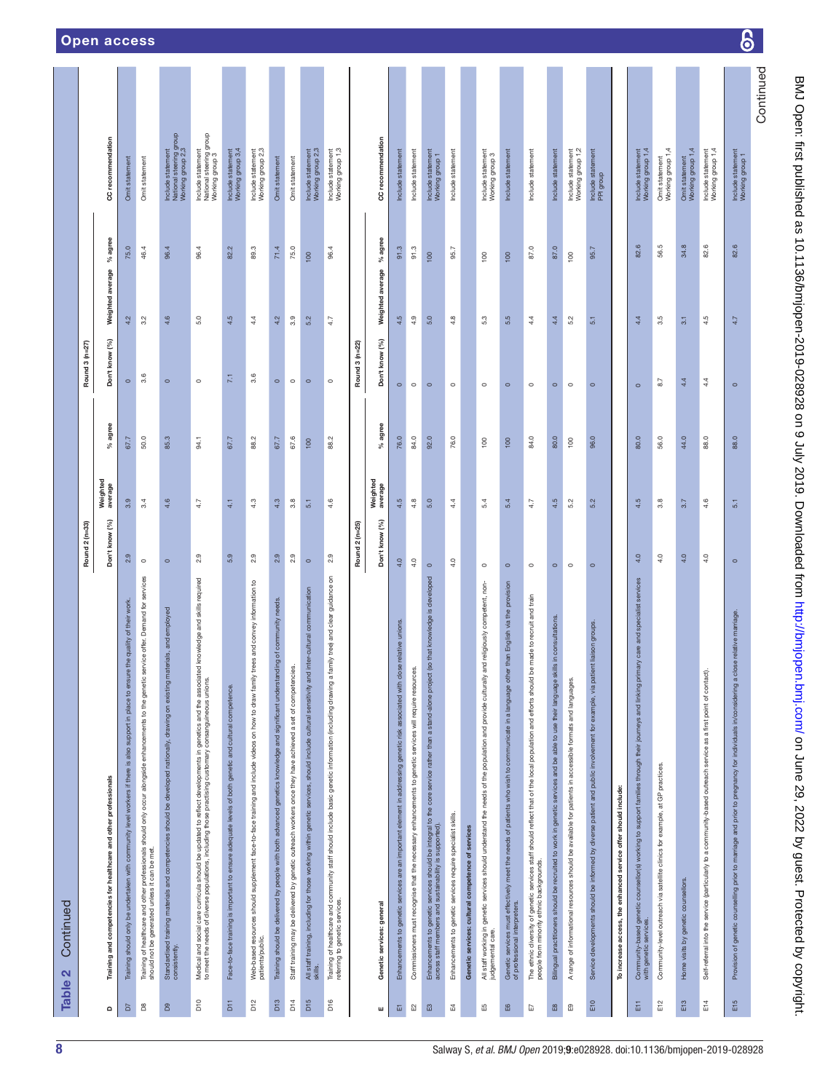E15 Provision of genetic counselling prior to marriage and prior to pregnancy for individuals in/considering a close relative marriage. 0 5.1 88.0 0 4.7 4.7 82.6 Relations of the distance and estatement

Provision of genetic counselling prior to martiage and prior to pregnancy for individuals in/considering a close relative marriage.

 $E15$ 

 $\circ$ 

Working group 1

Include statement<br>Working group 1

82.6

 $4.7$ 

 $\circ$ 

88.0

 $5.1$ 

Continued

Continued

 $\delta$ 

L.

| <b>Table</b>          | Continued<br>$\mathbf{\Omega}$                                                                                                                                                                                                    |                |                     |                  |                 |                  |                  |                                                                   |  |
|-----------------------|-----------------------------------------------------------------------------------------------------------------------------------------------------------------------------------------------------------------------------------|----------------|---------------------|------------------|-----------------|------------------|------------------|-------------------------------------------------------------------|--|
|                       |                                                                                                                                                                                                                                   | Round 2 (n=33) |                     |                  | Round 3 (n=27)  |                  |                  |                                                                   |  |
| $\mathsf{d}$          | Training and competencies for healthcare and other professionals                                                                                                                                                                  | Don't know (%) | Weighted<br>average | $%$ agree        | Don't know (%)  | Weighted average | $%$ agree        | CC recommendation                                                 |  |
| ă                     | ensure the quality of their work<br>Training should only be undertaken with community level workers if there is also support in place to                                                                                          | 2.9            | 3.9                 | 67.7             | $\circ$         | 4.2              | 75.0             | Omit statement                                                    |  |
| $_{\rm B}^{\rm g}$    | Training of healthcare and other professionals should only occur alongside enhancements to the genetic service offer. Demand for services<br>should not be generated unless it can be met.                                        | $\circ$        | 3.4                 | 50.0             | 3.6             | 3.2              | 46.4             | Omit statement                                                    |  |
| Bq                    | Standardised training materials and competencies should be developed nationally, drawing on existing materials, and employed<br>consistently.                                                                                     | $\circ$        | 4.6                 | 85.3             | $\circ$         | 4.6              | 96.4             | National steering group<br>Working group 2,3<br>Include statement |  |
| D10                   | Medical and social care curricula should be updated to reflect developments in genetics and the associated knowledge and skills required<br>to meet the needs of diverse populations, including those practising customary consan | 2.9            | 4.7                 | 94.1             | $\circ$         | 5.0              | 96.4             | National steering group<br>Working group 3<br>Include statement   |  |
| D <sub>11</sub>       | Face-to-face training is important to ensure adequate levels of both genetic and cultural competence.                                                                                                                             | 5.9            | 4.1                 | 67.7             | $\overline{11}$ | 4.5              | 82.2             | Include statement<br>Working group 3,4                            |  |
| D <sub>12</sub>       | Web-based resources should supplement face-to-face training and include videos on how to draw family trees and convey information to<br>patients/public.                                                                          | 2.9            | 4.3                 | 88.2             | 3.6             | 4.4              | 89.3             | Working group 2,3<br>Include statement                            |  |
| D <sub>13</sub>       | Training should be delivered by people with both advanced genetics knowledge and significant understanding of community needs                                                                                                     | 2.9            | 4.3                 | 67.7             | $\circ$         | 4.2              | 71.4             | Omit statement                                                    |  |
| D14                   | Staff training may be delivered by genetic outreach workers once they have achieved a set of competencies                                                                                                                         | 2.9            | 3.8                 | 67.6             | $\circ$         | 3.9              | 75.0             | Omit statement                                                    |  |
| D <sub>15</sub>       | All staff training, including for those working within genetic services, should include cultural senstivity and inter-cultural communication<br>skills.                                                                           | $\circ$        | $5.1\,$             | 100              | $\circ$         | 5.2              | 100              | Include statement<br>Working group 2,3                            |  |
| D <sub>16</sub>       | Training of healthcare and community staff should include basic genetic information (including drawing a family tree) and clear guidance on<br>referring to genetic services.                                                     | 2.9            | 4.6                 | 88.2             | $\circ$         | 4.7              | 96.4             | Include statement<br>Working group 1,3                            |  |
|                       |                                                                                                                                                                                                                                   | Round 2 (n=25) |                     |                  | Round 3 (n=22)  |                  |                  |                                                                   |  |
| ш                     | Genetic services: general                                                                                                                                                                                                         | Don't know (%) | Weighted<br>average | $%$ agree        | Don't know (%)  | Weighted average | $%$ agree        | CC recommendation                                                 |  |
| 副                     | Enhancements to genetic services are an important element in addressing genetic risk associated with close relative unions                                                                                                        | 4.0            | 4.5                 | 76.0             | $\circ$         | 4.5              | 91.3             | Include statement                                                 |  |
| $\Xi$                 | Commissioners must recognise that the necessary enhancements to genetic services will require resources.                                                                                                                          | 4.0            | 4.8                 | 84.0             | $\circ$         | 4.9              | 91.3             | Include statement                                                 |  |
| $\mathbb{E}3$         | Enhancements to genetic services should be integral to the core service rather than a stand-alone project (so that knowledge is developed<br>across staff members and sustainability is supported).                               | $\circ$        | 5.0                 | 92.0             | $\circ$         | 5.0              | 100              | Include statement<br>Working group 1                              |  |
| 4                     | Enhancements to genetic services require specialist skills.                                                                                                                                                                       | 4.0            | 4.4                 | 76.0             | $\circ$         | 4.8              | 95.7             | Include statement                                                 |  |
|                       | Genetic services: cultural competence of services                                                                                                                                                                                 |                |                     |                  |                 |                  |                  |                                                                   |  |
| ₩                     | All staff working in genetic services should understand the needs of the population and provide culturally and religiously competent, non-<br>judgemental care.                                                                   | $\circ$        | 5.4                 | $\frac{100}{2}$  | $\circ$         | 5.3              | $\frac{100}{2}$  | Include statement<br>Working group 3                              |  |
| E6                    | Genetic services must effectively meet the needs of patients who wish to communicate in a language other than English via the provision<br>of professional interpreters.                                                          | $\circ$        | 5.4                 | $\overline{100}$ | $\circ$         | 5.5              | $\overline{100}$ | Include statement                                                 |  |
| $\Xi$                 | The athnic diversity of genetic services staff strould reflect that of the local population and efforts should be made to recruit and train<br>people from minority ethnic backgrounds.                                           | $\circ$        | 4.7                 | 84.0             | $\circ$         | 4.4              | 87.0             | Include statement                                                 |  |
| $\mathbb{E}^3$        | Bilingual practitioners should be recruited to work in genetic services and be able to use their language skills in consultations                                                                                                 | $\circ$        | 4.5                 | 80.0             | $\circ$         | 4.4              | 87.0             | Include statement                                                 |  |
| $\mathbb{E}9$         | A range of informational resources should be available for patients in accessible formats and languages.                                                                                                                          | $\circ$        | 5 <sup>2</sup>      | 100              | $\circ$         | 5.2              | 100              | Working group 1,2<br>Include statement                            |  |
| E10                   | Service developments should be informed by diverse patient and public involvement for example, via patient liaison groups                                                                                                         | $\circ$        | 5.2                 | 96.0             | $\circ$         | 51               | 95.7             | Include statement<br>PPI group                                    |  |
|                       | To increase access, the enhanced service offer should include:                                                                                                                                                                    |                |                     |                  |                 |                  |                  |                                                                   |  |
| $\overleftarrow{\Xi}$ | Community-based genetic counsellor(s) working to support families through their journeys and linking primary care and specialist services<br>with genetic services.                                                               | 4.0            | 4.5                 | 80.0             | $\circ$         | 4.4              | 82.6             | Working group 1,4<br>Include statement                            |  |
| E12                   | Community-level outreach via satellite clinics for example, at GP practices                                                                                                                                                       | 4.0            | 3.8                 | 56.0             | 5.7             | 3.5              | 56.5             | Working group 1,4<br>Omit statement                               |  |
| E13                   | Home visits by genetic counsellors.                                                                                                                                                                                               | 4.0            | 3.7                 | 44.0             | 4.4             | $\overline{3}$ . | 34.8             | Omit statement<br>Working group 1,4                               |  |
| E14                   | Self-referral into the service (particularly to a community-based outreach service as a first point of contact).                                                                                                                  | 4.0            | 4.6                 | 88.0             | 4.4             | 4.5              | 82.6             | Include statement<br>Working group 1,4                            |  |

 $\overline{1}$ 

L.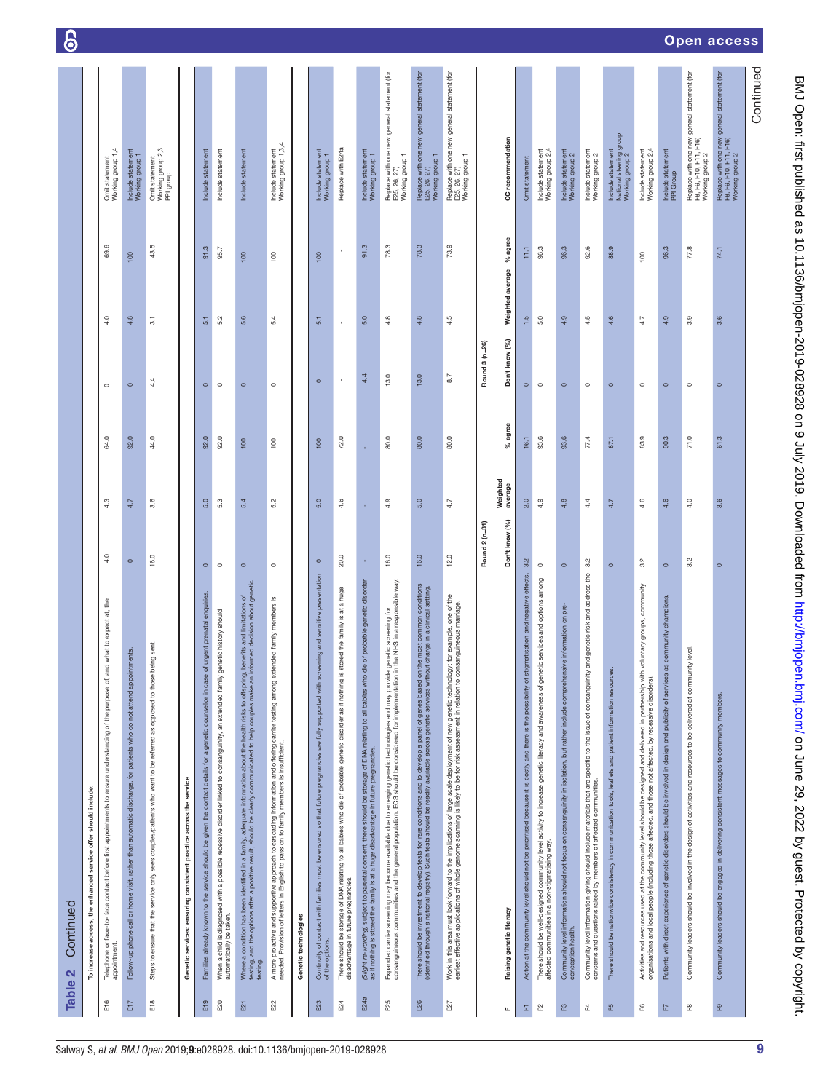| <b>Table</b>   | Continued<br>$\mathbf{\Omega}$                                                                                                                                                                                                                                                               |                |                     |               |                |                  |                  |                                                                                          |
|----------------|----------------------------------------------------------------------------------------------------------------------------------------------------------------------------------------------------------------------------------------------------------------------------------------------|----------------|---------------------|---------------|----------------|------------------|------------------|------------------------------------------------------------------------------------------|
|                | To increase access, the enhanced service offer should include:                                                                                                                                                                                                                               |                |                     |               |                |                  |                  |                                                                                          |
| $\mathsf{E}16$ | e of, and what to expect at, the<br>Telephone or face-to- face contact before first appointments to ensure understanding of the purpos<br>appointment                                                                                                                                        | 4.0            | 4.3                 | 64.0          | $\circ$        | 4.0              | 69.6             | Omit statement<br>Working group 1,4                                                      |
| E17            | appointments<br>Follow-up phone call or home visit, rather than automatic discharge, for patients who do not attend                                                                                                                                                                          | $\circ$        | 4.7                 | 92.0          | $\circ$        | 4.8              | $\overline{100}$ | Include statement<br>Working group 1                                                     |
| E18            | Steps to ensure that the service only sees couples/patients who want to be referred as opposed to those being sent.                                                                                                                                                                          | 16.0           | 3.6                 | 44.0          | 4.4            | 51               | 43.5             | Omit statement<br>Working group 2,3<br>PPI group                                         |
|                | Genetic services: ensuring consistent practice across the service                                                                                                                                                                                                                            |                |                     |               |                |                  |                  |                                                                                          |
| E19            | case of urgent prenatal enquiries<br>Families already known to the service should be given the contact details for a genetic counsellor in                                                                                                                                                   | $\circ$        | 5.0                 | 92.0          | $\circ$        | $\frac{1}{5}$    | 91.3             | Include statement                                                                        |
| $\mathbb{E}20$ | When a child is diagnosed with a possible recessive disorder linked to consanguintly, an extended family genetic history should<br>automatically be taken.                                                                                                                                   | $\circ$        | 5.3                 | 92.0          | $\circ$        | 5.2              | 95.7             | Include statement                                                                        |
| E21            | Where a condition has been identified in a family, adequate information about the health risks to offspring, benefits and imitations of<br>testing, and the options after a positive result, should be clearly communicated to he                                                            | $\circ$        | 5.4                 | 100           | $\circ$        | 5.6              | 100              | Include statement                                                                        |
| E22            | .≌<br>family members<br>extended<br>carrier testing among<br>A more proactive and supportive approach to cascading information and offering c<br>needed. Provision of letters in English to pass on to family members is insufficient.                                                       | $\circ$        | 52                  | $\frac{8}{2}$ | $\circ$        | 5.4              | $\frac{8}{2}$    | Include statement<br>Working group 1,3,                                                  |
|                | Genetic technologies                                                                                                                                                                                                                                                                         |                |                     |               |                |                  |                  |                                                                                          |
| $\mathbb{E}23$ | Continuty of contact with families must be ensured so that future pregnancies are fully supported with screening and sensitive presentation<br>of the options.                                                                                                                               | $\circ$        | 5.0                 | 100           | $\circ$        | 51               | 100              | Include statement<br>Working group 1                                                     |
| E24            | There should be storage of DNA relating to all babies who die of probable genetic disorder as if nothing is stored the family is at a huge<br>disadvantage in future pregnancies.                                                                                                            | 20.0           | 4.6                 | 72.0          | $\mathbf{r}$   | $\bar{1}$        |                  | Replace with E24a                                                                        |
| E24a           | who die of probable genetic disorder<br>(Slight re-wording) subject to parental consent, there should be storage of DNA relating to all babies<br>as if nothing is stored the family is at a huge disadvantage in future pregnancies                                                         | $\mathbf{r}$   |                     |               | 4.4            | 5.0              | 91.3             | Include statement<br>Working group                                                       |
| $\Xi$          | Expanded carrier screening may become available due to emerging genetic technologies and may provide genetic screening for<br>consanguineous communities and the general population. ECS should be considered for implementation                                                             | 16.0           | 4.9                 | 80.0          | 13.0           | 4.8              | 78.3             | Replace with one new general statement (for<br>E25, 26, 27)<br>Working group 1           |
| E26            | ed on the most common conditions<br>without charge in a clinical setting.<br>There should be investment to develop tests for rare conditions and to develop a panel of genes bas<br>(identified through a national registry). Such tests should be readily available across genetic services | 16.0           | 5.0                 | 80.0          | 13.0           | 4.8              | 78.3             | Replace with one new general statement (for<br>E25, 26, 27)<br>Working group 1           |
| E27            | Work in this area must look forward to the implications of large scale deployment of new genetic technology: for example, one of the<br>earliest effective applications of whole genome scanning is likely to be for risk assessm                                                            | 12.0           | 4.7                 | 80.0          | 8.7            | 4.5              | 73.9             | Replace with one new general statement (for<br>E25, 26, 27)<br>Working group 1           |
|                |                                                                                                                                                                                                                                                                                              | Round 2 (n=31) |                     |               | Round 3 (n=26) |                  |                  |                                                                                          |
| щ              | Raising genetic literacy                                                                                                                                                                                                                                                                     | Don't know (%) | Weighted<br>average | % agree       | Don't know (%) | Weighted average | $%$ agree        | CC recommendation                                                                        |
| 园              | of stigmatisation and negative effects<br>Action at the community level should not be prioritised because it is costly and there is the possibility                                                                                                                                          | 3.2            | 2.0                 | 16.1          | $\circ$        | 1.5              | E                | Omit statement                                                                           |
| F <sub>2</sub> | There should be well-designed community level activity to increase genetic literacy and awareness of genetic services and options among<br>affected communities in a non-stigmatising way.                                                                                                   | $\circ$        | $^{4.9}$            | 93.6          | $\circ$        | 5.0              | 96.3             | Working group 2,4<br>Include statement                                                   |
| E3             | rehensive information on pre-<br>Community level information should not focus on consanguinity in isolation, but rather include comp<br>conception health.                                                                                                                                   | $\circ$        | 4.8                 | 93.6          | $\circ$        | 4.9              | 96.3             | Include statement<br>Working group 2                                                     |
| E4             | Community level information-giving should include materials that are specific to the issue of consanguinity and genetic risk and address the<br>concerns and questions raised by members of affected communities.                                                                            | 3.2            | 44                  | 77.4          | $\circ$        | 4.5              | 92.6             | Include statement<br>Working group 2                                                     |
| F5             | There should be nationwide consistency in communication tools, leaflets and patient information resources.                                                                                                                                                                                   | $\circ$        | 4.7                 | 87.1          | $\circ$        | 4.6              | 88.9             | National steering group<br>Working group 2<br>Include statement                          |
| F6             | Activities and resources used at the community level should be designed and delivered in partnership with voluntary groups, community<br>organisations and local people (including those affected, and those not affected, by rec                                                            | 32             | 4.6                 | 83.9          | $\circ$        | 4.7              | $\frac{8}{2}$    | Norking group 2,4<br>Include statement                                                   |
| F7             | Patients with direct experience of genetic disorders should be involved in design and publicity of services as community champions                                                                                                                                                           | $\circ$        | 4.6                 | 90.3          | $\circ$        | 4.9              | 96.3             | Include statement<br>PPI Group                                                           |
| œ              | Community leaders should be involved in the design of activities and resources to be delivered at community level                                                                                                                                                                            | 3.2            | 4.0                 | 71.0          | $\circ$        | 3.9              | 77.8             | Replace with one new general statement (for<br>F8, F9, F10, F11, F16)<br>Working group 2 |
| E <sub>9</sub> | Community leaders should be engaged in delivering consistent messages to community members                                                                                                                                                                                                   | $\circ$        | 3.6                 | 61.3          | $\circ$        | 3.6              | 74.1             | Replace with one new general statement (for<br>F8, F9, F10, F11, F16)<br>Working group 2 |

l,

 $\overline{a}$ 

Continued

Continued

Open access

 $\mathbf{r}$ 

J.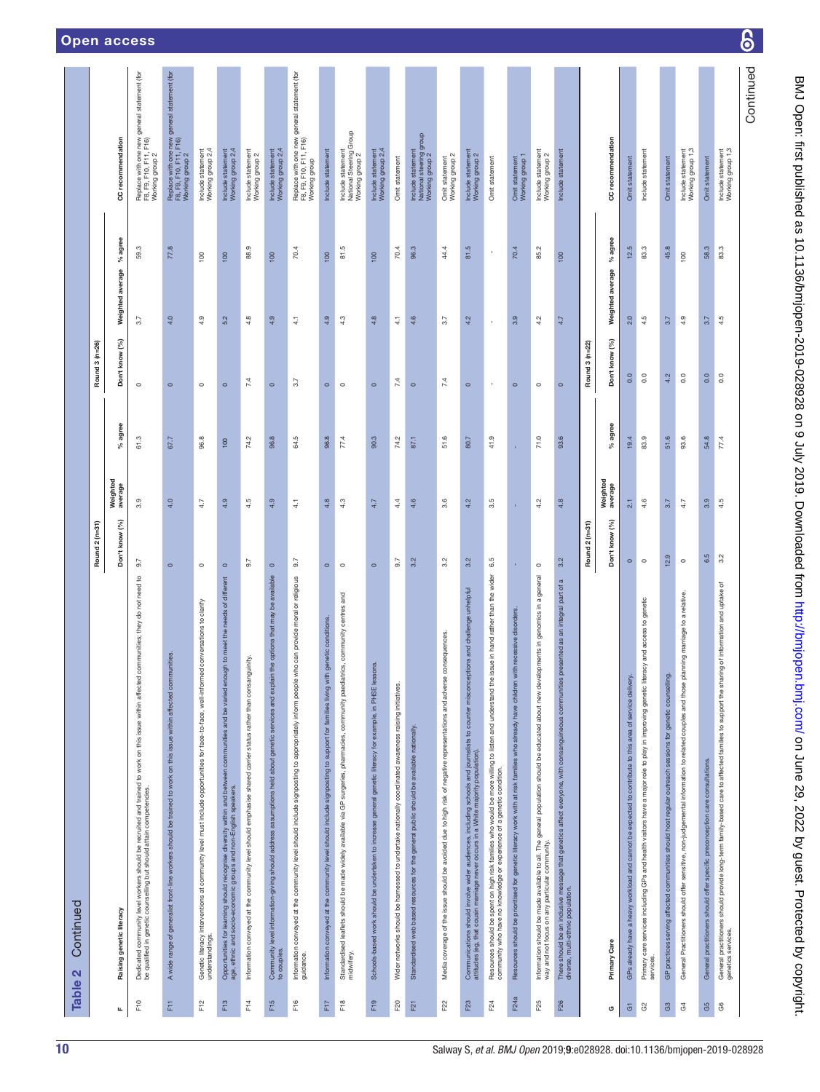| しこく                  |
|----------------------|
|                      |
|                      |
|                      |
| $\ddot{\phantom{0}}$ |
|                      |
|                      |
|                      |
|                      |
|                      |
|                      |
|                      |
|                      |
|                      |
|                      |
|                      |
|                      |
|                      |
|                      |
|                      |
|                      |
|                      |
|                      |
| $\ddot{\phantom{a}}$ |
|                      |
|                      |
|                      |
| $\frac{1}{2}$        |
|                      |
|                      |
|                      |
|                      |
|                      |
|                      |
| )<br>22222<br>2222   |
|                      |
|                      |
|                      |
|                      |
|                      |
|                      |
|                      |
|                      |
|                      |
|                      |
|                      |
|                      |
|                      |
|                      |
|                      |
|                      |
|                      |
|                      |
|                      |
|                      |
|                      |
|                      |
|                      |
|                      |
|                      |
|                      |
|                      |
|                      |
|                      |
|                      |
| <u>יי יו ה</u> התא   |
|                      |
|                      |
|                      |
|                      |
|                      |
|                      |
|                      |
|                      |
|                      |
|                      |
|                      |
|                      |
|                      |
|                      |
|                      |
|                      |
|                      |
|                      |
|                      |
|                      |
|                      |
| ׇ֘֝֬֝                |
|                      |
| í                    |
|                      |
|                      |
|                      |
|                      |
|                      |
|                      |
|                      |
|                      |
|                      |
|                      |

Continued

Continued

 $\delta$ 

|  | Open access |
|--|-------------|
|  |             |

| <b>Table</b>                                          | Continued<br>$\mathbf{\Omega}$                                                                                                                                                                                                 |                |                     |                  |                |                  |                  |                                                                                          |
|-------------------------------------------------------|--------------------------------------------------------------------------------------------------------------------------------------------------------------------------------------------------------------------------------|----------------|---------------------|------------------|----------------|------------------|------------------|------------------------------------------------------------------------------------------|
|                                                       |                                                                                                                                                                                                                                | Round 2 (n=31) |                     |                  | Round 3 (n=26) |                  |                  |                                                                                          |
| щ                                                     | Raising genetic literacy                                                                                                                                                                                                       | Don't know (%) | Weighted<br>average | % agree          | Don't know (%) | Weighted average | % agree          | CC recommendation                                                                        |
| F10                                                   | $\overline{c}$<br>Dedicated community level workers should be recruited and trained to work on this issue within affected communities; they do not need<br>be qualified in genetic counselling but should attain competencies. | 50             | 3.9                 | 61.3             | $\circ$        | 3.7              | 59.3             | Replace with one new general statement (for<br>F8, F9, F10, F11, F16)<br>Working group 2 |
| E                                                     | A wide range of generalist front-line workers should be trained to work on this issue within affected communities                                                                                                              | $\circ$        | 4.0                 | 67.7             | $\circ$        | 4.0              | 77.8             | Replace with one new general statement (for<br>F8, F9, F10, F11, F16)<br>Working group 2 |
| F <sub>12</sub>                                       | ed conversations to clarify<br>Genetic literacy interventions at community level must include opportunities for face-to-face, well-inform<br>understandings.                                                                   | $\circ$        | 4.7                 | 96.8             | $\circ$        | 4.9              | ξ                | Working group 2,4<br>Include statement                                                   |
| F <sub>13</sub>                                       | Opportunités for learning should recognise diversity within and between communities and be varied enough to meet the needs of different<br>age, ethnic and socio-economic groups and non-English speakers.                     | $\circ$        | 4.9                 | $\overline{100}$ | $\circ$        | 5.2              | $\frac{100}{2}$  | Working group 2,4<br>Include statement                                                   |
| F <sub>14</sub>                                       | Information conveyed at the community level should emphasise shared carrier status rather than consanguinity.                                                                                                                  | 6.7            | 4.5                 | 74.2             | 7.4            | 4.8              | 88.9             | Include statement<br>Working group 2                                                     |
| F <sub>15</sub>                                       | Community level information-giving should address assumptions held about genetic services and explain the options that may be available<br>to couples.                                                                         | $\circ$        | 4.9                 | 96.8             | $\circ$        | 4.9              | 100              | Include statement<br>Working group 2,4                                                   |
| F <sub>16</sub>                                       | who can provide moral or religious<br>Information conveyed at the community level should include signposting to appropriately inform people<br>guidance.                                                                       | 5.7            | $\frac{1}{4}$       | 64.5             | $\frac{7}{2}$  | $\frac{1}{4}$    | 70.4             | Replace with one new general statement (for<br>F8, F9, F10, F11, F16)<br>Working group   |
| $\mathsf{F}17$                                        | Information conveyed at the community level should include signposting to support for families living with genetic conditions.                                                                                                 | $\circ$        | 4.8                 | 96.8             | $\circ$        | 4.9              | $\frac{100}{2}$  | Include statement                                                                        |
| F <sub>18</sub>                                       | Standardised leaflets should be made widely available via GP surgeries, pharmacies, community paediatrics, community centres and<br>midwifery.                                                                                 | $\circ$        | $\frac{3}{4}$       | 77.4             | $\circ$        | 4.3              | 81.5             | National Steering Group<br>Working group 2<br>Include statement                          |
| F <sub>19</sub>                                       | Schools-based work should be undertaken to increase general genetic literacy for example, in PHSE lessons.                                                                                                                     | $\circ$        | 4.7                 | 90.3             | $\circ$        | 4.8              | 100              | Include statement<br>Working group 2,4                                                   |
| F <sub>20</sub>                                       | Wider networks should be harnessed to undertake nationally coordinated awareness raising initiatives.                                                                                                                          | 9.7            | 4.4                 | 74.2             | 7.4            | 4.1              | 70.4             | Omit statement                                                                           |
| F <sub>21</sub>                                       | Standardised web based resources for the general public should be available nationally.                                                                                                                                        | 3.2            | 4.6                 | 87.1             | $\circ$        | 4.6              | 96.3             | Include statement<br>National steering group<br>Working group 2                          |
| F22                                                   | Media coverage of the issue should be avoided due to high risk of negative representations and adverse consequences                                                                                                            | 3.2            | 3.6                 | 51.6             | 7.4            | 5.7              | 44.4             | Working group 2<br>Omit statement                                                        |
| F <sub>23</sub>                                       | Communications should involve wider audiences, including schools and journalists to counter misconceptions and challenge unhelpful<br>attitudes (eg, that cousin marriage never occurs in a White majority population).        | 3.2            | 4.2                 | 80.7             | $\circ$        | 4.2              | 81.5             | Include statement<br>Working group 2                                                     |
| F24                                                   | issue in hand rather than the wider<br>Resources should be spent on high risk families who would be more willing to listen and understand the<br>community who have no knowledge or experience of a genetic condition.         | 6.5            | 3.5                 | 41.9             |                |                  |                  | Omit statement                                                                           |
| F24a                                                  | with recessive disorders<br>Resources should be prioritised for genetic literacy work with at risk families who already have children                                                                                          |                |                     |                  | $\circ$        | 3.9              | 70.4             | Working group 1<br>Omit statement                                                        |
| F25                                                   | Information should be made available to all. The general population should be educated about new developments in genomics in a general<br>way and not focus on any particular community.                                       | $\circ$        | $^{42}$             | 71.0             | $\circ$        | 4.2              | 85.2             | Include statement<br>Working group 2                                                     |
| F26                                                   | $\omega$<br>part of<br>presented as an integral<br>There should be an inclusive message that genetics affect everyone, with consanguineous communities<br>diverse, multi-ethnic population.                                    | 3.2            | 4.8                 | 93.6             | $\circ$        | 4.7              | $\overline{100}$ | Include statement                                                                        |
|                                                       |                                                                                                                                                                                                                                | Round 2 (n=31) |                     |                  | Round 3 (n=22) |                  |                  |                                                                                          |
| σ                                                     | Primary Care                                                                                                                                                                                                                   | Don't know (%) | Weighted<br>average | $%$ agree        | Don't know (%) | Weighted average | $%$ agree        | CC recommendation                                                                        |
| $\overleftarrow{\mathrm{G}}$                          | GPs already have a heavy workload and cannot be expected to contribute to this area of service deliver                                                                                                                         | $\circ$        | $\overline{2.1}$    | 19.4             | 0.0            | 2.0              | 12.5             | Omit statement                                                                           |
| ෂි                                                    | Primary care services including GPs and health visitors have a major role to play in improving genetic literacy and access to genetic<br>services.                                                                             | $\circ$        | 4.6                 | 83.9             | 0.0            | 4.5              | 83.3             | Include statement                                                                        |
| G3                                                    | GP practices serving affected communities should host regular outreach sessions for genetic counselling.                                                                                                                       | 12.9           | 3.7                 | 51.6             | 4.2            | 3.7              | 45.8             | Omit statement                                                                           |
| $\mathfrak{F}% _{A}^{\ast }=\mathfrak{F}_{A}^{\ast }$ | General Practitioners should offer sensitive, non-judgemental information to related couples and those planning marriage to a relative.                                                                                        | $\circ$        | 4.7                 | 93.6             | 0.0            | 4.9              | 100              | Working group 1,3<br>Include statement                                                   |
| G5                                                    | General practitioners should offer specific preconception care consultations.                                                                                                                                                  | 6.5            | 3.9                 | 54.8             | 0.0            | 3.7              | 58.3             | Omit statement                                                                           |
| ලි                                                    | General practitorers should provide long-term family-based care to affected families to support the sharing of information and uptake of<br>genetics services.                                                                 | 3.2            | 4.5                 | 77.4             | 0.0            | 4.5              | 83.3             | Working group 1,3<br>Include statement                                                   |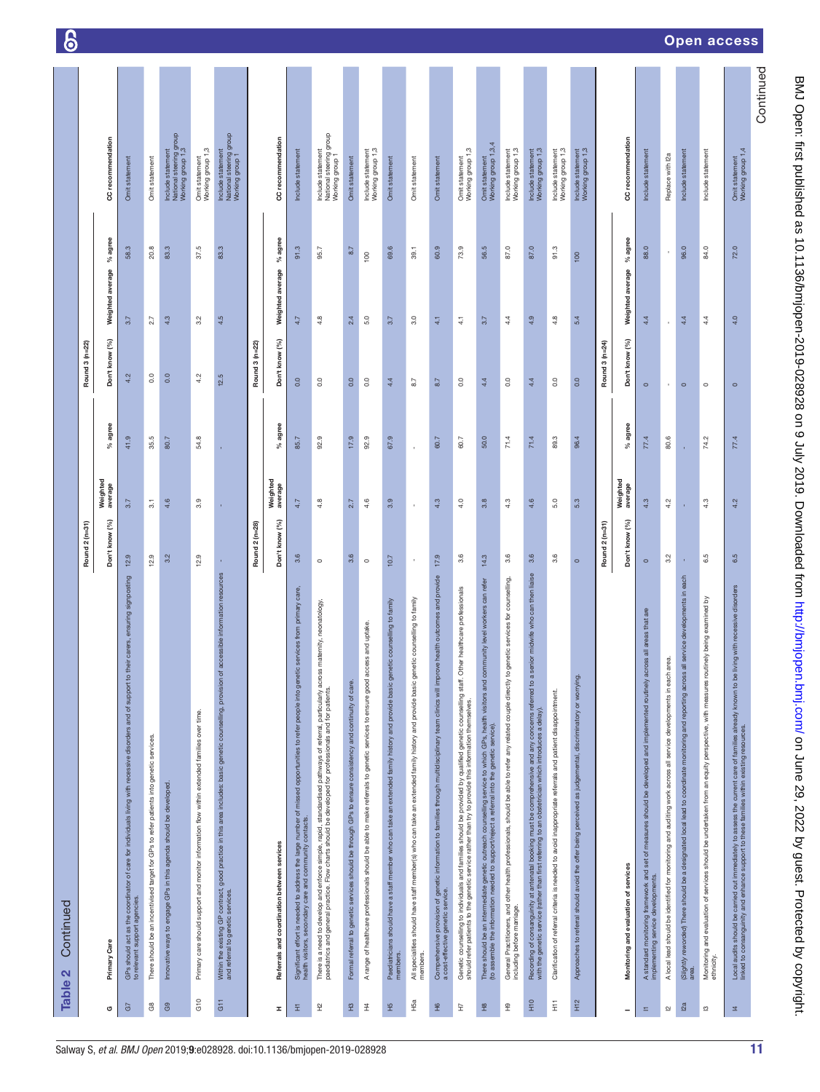| J                                                                                                               |  |
|-----------------------------------------------------------------------------------------------------------------|--|
|                                                                                                                 |  |
|                                                                                                                 |  |
|                                                                                                                 |  |
|                                                                                                                 |  |
| ילוויו וויטוי המטרי האטוויאטט יש גומה ביום מאפטאט וויטן פטן פון יטו פט Plivo Divo וויטון וויטון וויטון וויטון ה |  |
|                                                                                                                 |  |
| , יידיולווירט<br>ג                                                                                              |  |
|                                                                                                                 |  |
|                                                                                                                 |  |
|                                                                                                                 |  |
|                                                                                                                 |  |
|                                                                                                                 |  |
| <b>1.2 4432デ mins 2040 DJ80J8 as D</b>                                                                          |  |
|                                                                                                                 |  |
|                                                                                                                 |  |
|                                                                                                                 |  |
|                                                                                                                 |  |
|                                                                                                                 |  |
|                                                                                                                 |  |
|                                                                                                                 |  |
|                                                                                                                 |  |
|                                                                                                                 |  |
|                                                                                                                 |  |
|                                                                                                                 |  |
|                                                                                                                 |  |
|                                                                                                                 |  |
|                                                                                                                 |  |
|                                                                                                                 |  |
|                                                                                                                 |  |
|                                                                                                                 |  |
|                                                                                                                 |  |
|                                                                                                                 |  |
|                                                                                                                 |  |
|                                                                                                                 |  |
|                                                                                                                 |  |
|                                                                                                                 |  |
|                                                                                                                 |  |
|                                                                                                                 |  |
|                                                                                                                 |  |
|                                                                                                                 |  |
|                                                                                                                 |  |
| <u>ייהוריקליה: ז</u>                                                                                            |  |
|                                                                                                                 |  |
| ر<br>2                                                                                                          |  |
|                                                                                                                 |  |
|                                                                                                                 |  |
|                                                                                                                 |  |
|                                                                                                                 |  |
|                                                                                                                 |  |
| ֖֖֖֪ׅ֪ׅ֪ׅׅׅׅ֪֪ׅ֪֪ׅ֧֚֚֚֚֚֚֚֚֚֚֚֚֚֚֚֚֡֝֝֝֝֬֝֬֝֬֓֓֝֬                                                               |  |
|                                                                                                                 |  |
| י<br>ולי ה                                                                                                      |  |
|                                                                                                                 |  |
|                                                                                                                 |  |
|                                                                                                                 |  |
|                                                                                                                 |  |
| ļ                                                                                                               |  |
|                                                                                                                 |  |
|                                                                                                                 |  |
|                                                                                                                 |  |
| ׇ֚֘֝֡<br>l                                                                                                      |  |
|                                                                                                                 |  |
|                                                                                                                 |  |
|                                                                                                                 |  |
|                                                                                                                 |  |
|                                                                                                                 |  |
|                                                                                                                 |  |
|                                                                                                                 |  |

| <b>Table</b>            | Continued<br>$\mathbf{\Omega}$                                                                                                                                                                                                                    |                |                          |           |                      |                  |                |                                                                   |
|-------------------------|---------------------------------------------------------------------------------------------------------------------------------------------------------------------------------------------------------------------------------------------------|----------------|--------------------------|-----------|----------------------|------------------|----------------|-------------------------------------------------------------------|
|                         |                                                                                                                                                                                                                                                   | Round 2 (n=31) |                          |           | Round 3 (n=22)       |                  |                |                                                                   |
| σ                       | Primary Care                                                                                                                                                                                                                                      | Don't know (%) | Weighted<br>average      | % agree   | Don't know (%)       | Weighted average | $%$ agree      | CC recommendation                                                 |
| G                       | to their carers, ensuring signposting<br>GPs should act as the coordinator of care for individuals living with recessive disorders and of support<br>to relevant support agencies.                                                                | 12.9           | 3.7                      | 41.9      | 4.2                  | 3.7              | 58.3           | Omit statement                                                    |
| ෂී                      | There should be an incentivised target for GPs to refer patients into genetic services.                                                                                                                                                           | 12.9           | $3.1\,$                  | 35.5      | 0.0                  | 2.7              | 20.8           | Omit statement                                                    |
| ශ                       | Innovative ways to engage GPs in this agenda should be developed                                                                                                                                                                                  | 3.2            | 4.6                      | 80.7      | 0.0                  | 4.3              | 83.3           | National steering group<br>Working group 1,3<br>Include statement |
| G10                     | Primary care should support and monitor information flow within extended families over time.                                                                                                                                                      | 12.9           | 3.9                      | 54.8      | 4.2                  | 3.2              | 37.5           | Omit statement<br>Working group 1,3                               |
| G11                     | Within the existing GP contract, good practice in this area includes: basic genetic counselling, provision of accessible information resources<br>and referral to genetic services.                                                               |                |                          |           | 12.5                 | 4.5              | 83.3           | Include statement<br>National steering group<br>Working group 1   |
|                         |                                                                                                                                                                                                                                                   | Round 2 (n=28) |                          |           | Round 3 (n=22)       |                  |                |                                                                   |
| x,                      | Referrals and coordination between services                                                                                                                                                                                                       | Don't know (%) | Weighted<br>average      | % agree   | Don't know (%)       | Weighted average | $%$ agree      | CC recommendation                                                 |
| Ξ                       | Significant effort is needed to address the large number of missed opportunities to refer people into genetic services from primary care,<br>health visitors, secondary care and community contacts.                                              | 3.6            | 4.7                      | 85.7      | 0.0                  | 4.7              | 91.3           | Include statement                                                 |
| 윞                       | There is a need to develop and enforce simple, rapid, standardised pathways of referral, particularly across maternity, neonatology<br>paediatrics and general practice. Flow charts should be developed for professionals and fo                 | $\circ$        | 4.8                      | 92.9      | $_{\rm 0.0}^{\rm o}$ | 4.8              | 95.7           | National steering group<br>Working group 1<br>Include statement   |
| $\widetilde{\pm}$       | Formal referral to genetic services should be through GPs to ensure consistency and continuity of care.                                                                                                                                           | 3.6            | 2.7                      | 17.9      | 0.0                  | 2.4              | $\overline{8}$ | Omit statement                                                    |
| $\vec{\tau}$            | A range of healthcare professionals should be able to make referrals to genetic services to ensure good access and uptake.                                                                                                                        | $\circ$        | 4.6                      | 92.9      | 0.0                  | 5.0              | 100            | Working group 1,3<br>Include statement                            |
| $\frac{10}{2}$          | genetic counselling to family<br>Paediatricians should have a staff member who can take an extended family history and provide basic<br>members                                                                                                   | 10.7           | 3.9                      | 67.9      | 4.4                  | 3.7              | 69.6           | Omit statement                                                    |
| Н5а                     | genetic counselling to family<br>All specialities should have staff member(s) who can take an extended family history and provide basic<br>members.                                                                                               | ï              | $\overline{\phantom{a}}$ | Î,        | 8.7                  | 3.0              | 39.1           | Omit statement                                                    |
| $\frac{\omega}{\omega}$ | Comprehensive provision of genetic information to families through multidisciplinary team clinics will improve health outcomes and provide<br>a cost-effective genetic service.                                                                   | 17.9           | 4.3                      | 60.7      | $\overline{8.7}$     | $\frac{1}{4}$    | 60.9           | Omit statement                                                    |
| $\tilde{H}$             | Genetic counselling to individuals and families should be provided by qualified genetic counselling staff. Other healthcare professionals<br>should refer patients to the genetic service rather than try to provide this informa                 | 3.6            | 4.0                      | 60.7      | 0.0                  | $\frac{1}{4}$    | 73.9           | Working group 1,3<br>Omit statement                               |
| $\frac{\infty}{2}$      | community level workers can refer<br>There should be an intermediate genetic outreach counselling service to which GPs, health visitors and<br>(to assemble the information needed to support/reject a referral into the genetic service).        | 14.3           | 3.8                      | 50.0      | 4.4                  | 3.7              | 56.5           | Omit statement<br>Working group 1,3,4                             |
| 운                       | to genetic services for counselling,<br>General Practitioners, and other health professionals, should be able to refer any related couple directly<br>including before marriage.                                                                  | 3.6            | 4.3                      | $71.4\,$  | 0.0                  | 4.4              | 87.0           | Include statement<br>Working group 1,3                            |
| H <sub>10</sub>         | a senior midwife who can then liaise<br>Recording of consanguinity at antenatal booking must be comprehensive and any concerns referred to<br>with the genetic service (rather than first referring to an obstetrician which introduces a delay). | 3.6            | 4.6                      | 71.4      | 4.4                  | 4.9              | 87.0           | Include statement<br>Working group 1,3                            |
| E                       | Clarification of referral criteria is needed to avoid inappropriate referrals and patient disappointment.                                                                                                                                         | 3.6            | 5.0                      | 89.3      | 0.0                  | 4.8              | 91.3           | Working group 1,3<br>Include statement                            |
| H12                     | ğ,<br>Approaches to referral should avoid the offer being perceived as judgemental, discriminatory or worryin                                                                                                                                     | $\circ$        | 5.3                      | 96.4      | 0.0                  | 5.4              | 100            | Indude statement<br>Working group 1,3                             |
|                         |                                                                                                                                                                                                                                                   | Round 2 (n=31) |                          |           | Round 3 (n=24)       |                  |                |                                                                   |
| -                       | Monitoring and evaluation of services                                                                                                                                                                                                             | Don't know (%) | Weighted<br>average      | $%$ agree | Don't know (%)       | Weighted average | $%$ agree      | CC recommendation                                                 |
| $\equiv$                | across all areas that are<br>A standard monitoring framework and set of measures should be developed and implemented routinely<br>implementing service developments.                                                                              | $\circ$        | 4.3                      | 77.4      | $\circ$              | 4.4              | 88.0           | Include statemen                                                  |
| $\mathop\simeq$         | A local lead should be identified for monitoring and auditing work across all service developments in each area                                                                                                                                   | 3.2            | 4.2                      | 80.6      | $\mathbf{r}$         | $\mathbf{r}$     | $\mathbf{I}$   | Replace with I2a                                                  |
| 2a                      | (Slightly reworded) There should be a designated local lead to coordinate monitoring and reporting across all service developments in each<br>area.                                                                                               | $\mathbf{r}$   |                          | h,        | $\circ$              | 4.4              | 96.0           | Include statement                                                 |
| $\overline{\omega}$     | routinely being examined by<br>Monitoring and evaluation of services should be undertaken from an equity perspective, with measures<br>ethnicity.                                                                                                 | 6.5            | 4.3                      | 74.2      | $\circ$              | 4.4              | 84.0           | Include statement                                                 |
| $\overline{\mathbf{z}}$ | be living with recessive disorders<br>Local audits should be carried out immediately to assess the current care of families already known to<br>Inked to consanguinity and enhance support to these families within existing resources.           | 6.5            | 4.2                      | 77.4      | $\circ$              | 4.0              | 72.0           | Omit statement<br>Working group 1,4                               |
|                         |                                                                                                                                                                                                                                                   |                |                          |           |                      |                  |                | Continued                                                         |

6

Open access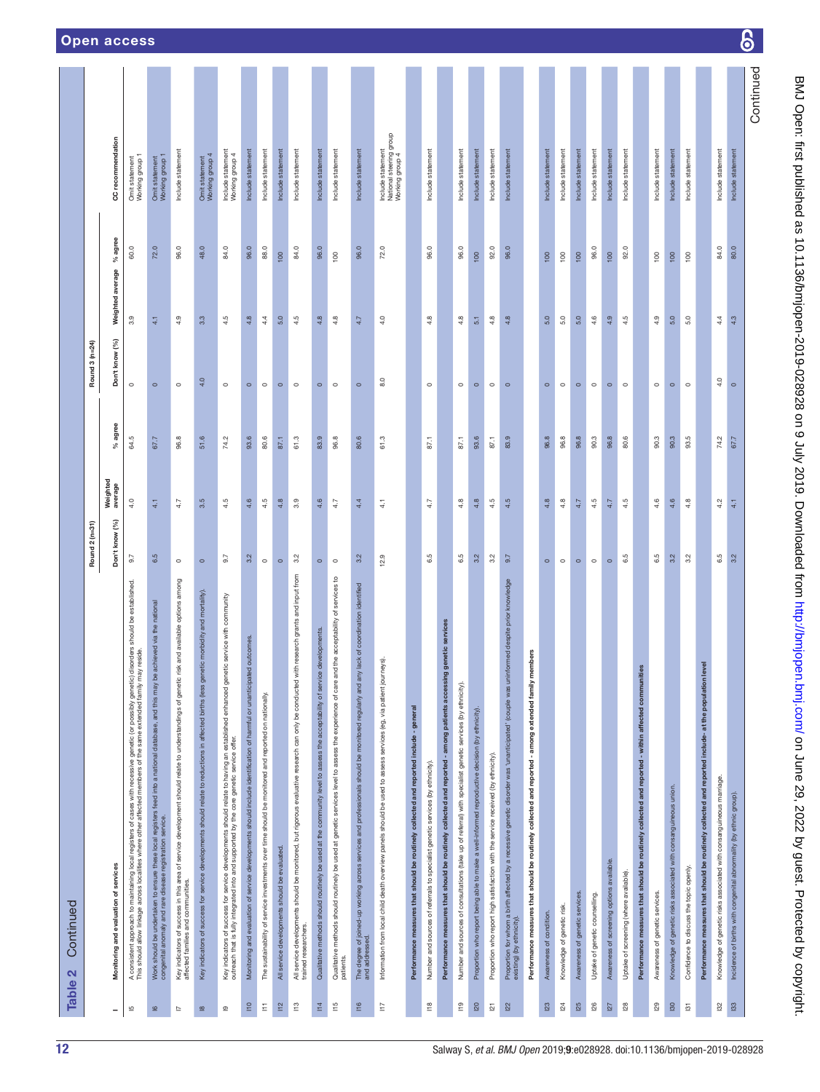|                                     | Continued<br>Table 2                                                                                                                                                                                                              |                |                     |           |                  |                  |                 |                                                                 |           |
|-------------------------------------|-----------------------------------------------------------------------------------------------------------------------------------------------------------------------------------------------------------------------------------|----------------|---------------------|-----------|------------------|------------------|-----------------|-----------------------------------------------------------------|-----------|
|                                     |                                                                                                                                                                                                                                   | Round 2 (n=31) |                     |           | Round 3 (n=24)   |                  |                 |                                                                 |           |
| -                                   | Monitoring and evaluation of services                                                                                                                                                                                             | Don't know (%) | Weighted<br>average | $%$ agree | Don't know (%)   | Weighted average | $%$ agree       | CC recommendation                                               |           |
| $\overline{5}$                      | A consistent approach to maintaining local registers of cases with recessive genetic (or possibly genetic) disorders should the established.<br>This should allow linkage across bcatities where other affected members of the sa | 9.7            | 4.0                 | 64.5      | $\circ$          | $3.\overline{9}$ | 60.0            | Omit statement<br>Working group                                 |           |
| $\underline{\mathbf{c}}$            | be achieved via the national<br>Work should be undertaken to ensure these local registers feed into a national database, and this may<br>congenital anomaly and rare disease registration service.                                | 6.5            | 4,1                 | 67.7      | $\circ$          | $\frac{1}{4}$    | 72.0            | Omit statement<br>Working group 1                               |           |
| $\overline{\phantom{a}}$            | Key indicators of success in this area of service development should relate to understandings of genetic risk and available options among<br>affected families and communities.                                                   | $\circ$        | 4.7                 | 96.8      | $\circ$          | 4.9              | 96.0            | Include statement                                               |           |
| $\underline{\omega}$                | Key indicators of success for service developments should relate to reductions in affected births (less genetic morbidity and mortality)                                                                                          | $\circ$        | $3.\overline{5}$    | 51.6      | 4.0              | 3.3              | 48.0            | Omit statement<br>Working group 4                               |           |
| $\mathbf{\underline{\sigma}}$       | Key indicators of success for service developments should retate to having an established enhanced genetic service with community<br>outreach that is fully integrated into and supported by the core genetic service offer.      | 55             | 4.5                 | 74.2      | $\circ$          | 4.5              | 84.0            | Include statement<br>Working group 4                            |           |
| $\overline{110}$                    | Monitoring and evaluation of service developments should include identification of harmful or unanticipated outcomes                                                                                                              | 3.2            | 4.6                 | 93.6      | $\circ$          | 4.8              | 96.0            | Include statement                                               |           |
| $\Xi$                               | The sustainability of service investments over time should be monitored and reported on nationally.                                                                                                                               | $\circ$        | 4.5                 | 80.6      | $\circ$          | 4.4              | 88.0            | Include statement                                               |           |
| $\overline{\mathbb{E}}$             | All service developments should be evaluated.                                                                                                                                                                                     | $\circ$        | 4.8                 | 87.1      | $\circ$          | 5.0              | 100             | Include statement                                               |           |
| 13                                  | with research grants and input from<br>All service developments should be monitored, but rigorous evaluative research can only be conducted<br>trained researchers.                                                               | 3 <sup>2</sup> | 3.9                 | 61.3      | $\circ$          | 4.5              | 84.0            | Include statement                                               |           |
| $\mathbb{H}$                        | ice developments<br>Qualitative methods should routinely be used at the community level to assess the acceptability of serv                                                                                                       | $\circ$        | 4.6                 | 83.9      | $\circ$          | 4.8              | 96.0            | Include statement                                               |           |
| 15                                  | and the acceptability of services to<br>Qualitative methods should routinely be used at genetic services level to assess the experience of care<br>patients.                                                                      | $\circ$        | 4.7                 | 96.8      | $\circ$          | 4.8              | $\overline{6}$  | Include statement                                               |           |
| $\frac{16}{16}$                     | any lack of coordination identified<br>The degree of joined-up working across services and professionals should be monitored regularly and<br>and addressed.                                                                      | 3.2            | 4.4                 | 80.6      | $\circ$          | 4.7              | 96.0            | Include statement                                               |           |
| $\overline{11}$                     | Information from local child death overview panels should be used to assess services (eg, via patient journeys).                                                                                                                  | 12.9           | 41                  | 61.3      | $\overline{8.0}$ | 4.0              | 72.0            | National steering group<br>Working group 4<br>Include statement |           |
|                                     | Performance measures that should be routinely collected and reported include - general                                                                                                                                            |                |                     |           |                  |                  |                 |                                                                 |           |
| $\frac{8}{11}$                      | Number and sources of referrals to specialist genetic services (by ethnicity).                                                                                                                                                    | 6.5            | 7                   | 87.1      | $\circ$          | 4.8              | 96.0            | Include statement                                               |           |
|                                     | Performance measures that should be routinely collected and reported - among patients accessing genetic services                                                                                                                  |                |                     |           |                  |                  |                 |                                                                 |           |
| $\frac{9}{2}$                       | Number and sources of consultations (take up of referral) with specialist genetic services (by ethnicity).                                                                                                                        | 6.5            | 4.8                 | 87.1      | $\circ$          | 4.8              | 96.0            | Include statement                                               |           |
| $\overline{20}$                     | Proportion who report being able to make a well-informed reproductive decision (by ethnicity).                                                                                                                                    | 3.2            | 4.8                 | 93.6      | $\circ$          | 5                | 100             | Include statement                                               |           |
| $\overline{\underline{\mathsf{S}}}$ | Proportion who report high satisfaction with the service received (by ethnicity).                                                                                                                                                 | 3.2            | 4.5                 | 87.1      | $\circ$          | 4.8              | 92.0            | Include statement                                               |           |
| $\overline{22}$                     | Proportion for whom a bith affected by a recessive genetic disorder was 'unanticipated' (couple was uninformed despite prior knowledge<br>existing) by ethnicity).                                                                | 9.7            | 4.5                 | 83.9      | $\circ$          | 4.8              | 96.0            | Include statement                                               |           |
|                                     | members<br>Performance measures that should be routinely collected and reported - among extended family                                                                                                                           |                |                     |           |                  |                  |                 |                                                                 |           |
| $\overline{23}$                     | Awareness of condition                                                                                                                                                                                                            | $\circ$        | 4.8                 | 96.8      | $\circ$          | 5.0              | 100             | Include statement                                               |           |
| $\ensuremath{\mathsf{24}}$          | Knowledge of genetic risk.                                                                                                                                                                                                        | $\circ$        | 4.8                 | 96.8      | $\circ$          | 5.0              | $\frac{8}{100}$ | Include statement                                               |           |
| $\overline{25}$                     | Awareness of genetic services                                                                                                                                                                                                     | $\circ$        | 4.7                 | 96.8      | $\circ$          | 5.0              | 100             | Include statement                                               |           |
| $\overline{26}$                     | Uptake of genetic counselling.                                                                                                                                                                                                    | $\circ$        | 4.5                 | 90.3      | $\circ$          | 4.6              | 96.0            | Include statement                                               |           |
| $\overline{\phantom{a}}$            | Awareness of screening options available.                                                                                                                                                                                         | $\circ$        | 4.7                 | 96.8      | $\circ$          | 4.9              | 100             | Include statement                                               |           |
| $^{28}$                             | Uptake of screening (where available)                                                                                                                                                                                             | 6.5            | 4.5                 | 80.6      | $\circ$          | 4.5              | 92.0            | Include statement                                               |           |
|                                     | Performance measures that should be routinely collected and reported - within affected communities                                                                                                                                |                |                     |           |                  |                  |                 |                                                                 |           |
| $\overline{29}$                     | Awareness of genetic services.                                                                                                                                                                                                    | 6.5            | 4.6                 | 90.3      | $\circ$          | 4.9              | $\overline{5}$  | Include statement                                               |           |
| 80                                  | Knowledge of genetic risks associated with consanguineous union.                                                                                                                                                                  | 3.2            | 4.6                 | 90.3      | $\circ$          | 5.0              | 100             | Include statement                                               |           |
| $\overline{5}$                      | Confidence to discuss the topic openly.                                                                                                                                                                                           | 3 <sup>2</sup> | 4.8                 | 93.5      | $\circ$          | 5.0              | $\frac{8}{100}$ | Include statement                                               |           |
|                                     | n level<br>Performance measures that should be routinely collected and reported include- at the population                                                                                                                        |                |                     |           |                  |                  |                 |                                                                 |           |
| $\overline{3}$                      | Knowledge of genetic risks associated with consanguineous marriage.                                                                                                                                                               | 6.5            | 4.2                 | 74.2      | 4.0              | 4.4              | 84.0            | Include statement                                               |           |
| $\frac{33}{2}$                      | Incidence of births with congenital abnormality (by ethnic group).                                                                                                                                                                | 3.2            | 41                  | 67.7      | $\circ$          | 4.3              | 80.0            | Include statement                                               |           |
|                                     |                                                                                                                                                                                                                                   |                |                     |           |                  |                  |                 |                                                                 | Continued |

8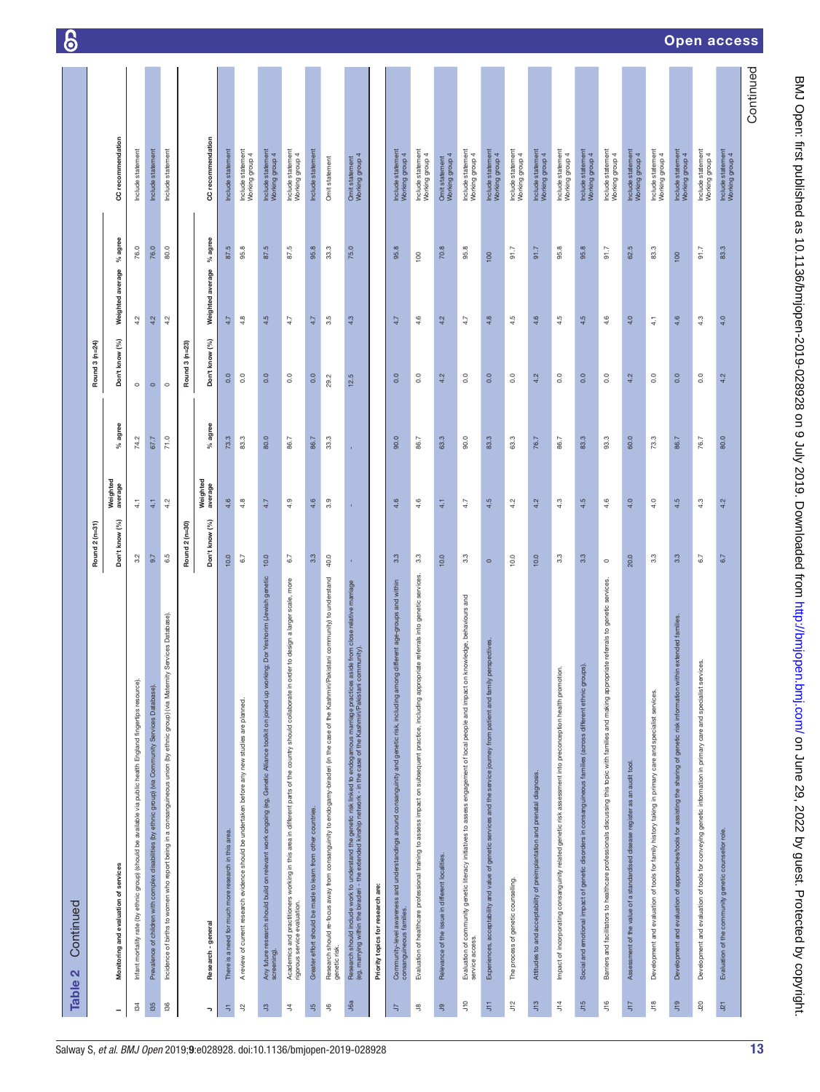| F                                              | Research - general                                                                                                                                                                                                               | Don't know (%) | Weighted<br>average | % agree | Don't know (%) | Weighted average | $%$ agree        | CC recommendation                    |
|------------------------------------------------|----------------------------------------------------------------------------------------------------------------------------------------------------------------------------------------------------------------------------------|----------------|---------------------|---------|----------------|------------------|------------------|--------------------------------------|
| 5                                              | There is a need for much more research in this area                                                                                                                                                                              | 10.0           | 4.6                 | 73.3    | $\frac{0}{2}$  | 4.7              | 87.5             | Include statemen                     |
| $\ensuremath{\mathop{\mathbb{S}_{}}\nolimits}$ | A review of current research evidence should be undertaken before any new studies are planned.                                                                                                                                   | 67             | 4.8                 | 83.3    | 0.0            | 4.8              | 95.8             | Include statement<br>Working group 4 |
| $\mathbb S$                                    | Any iture research should build on relevant work ongoing (eg. Genetic Alliance tookkt on joined up working: Dor Yeshorim (Jewish genetic<br>screening).                                                                          | 10.0           | 4.7                 | 80.0    | 0.0            | 4.5              | 87.5             | Include statement<br>Working group 4 |
| 4                                              | order to design a larger scale, more<br>Academics and practitioners working in this area in different parts of the country should collaborate in rigorous service evaluation.                                                    | 67             | 4.9                 | 86.7    | 0.0            | 4.7              | 87.5             | Include statement<br>Working group 4 |
| 5                                              | Greater effort should be made to learn from other countries                                                                                                                                                                      | 3.3            | 4.6                 | 86.7    | 0.0            | 4.7              | 95.8             | Include statement                    |
| $\mathfrak{S}$                                 | Research should re-focus away from consanguinity to endogamy-biraderi (in the case of the Kashmir/Pakistani community) to understand<br>genetic risk.                                                                            | 40.0           | 3.9                 | 33.3    | 29.2           | 3.5              | 33.3             | Omit statement                       |
| <b>J</b> Ga                                    | Research should include work to understand the genetic risk linked to endogarnous marriage practices aside from close relative marriage<br>(eg, marrying within the biraderi - the extended kinship network - in the case of the | ×,             |                     |         | 12.5           | 4.3              | 75.0             | Omit statement<br>Working group 4    |
|                                                | Priority topics for research are:                                                                                                                                                                                                |                |                     |         |                |                  |                  |                                      |
| 5                                              | Community-level awareness and understandings around consariguinity and genetic risk, including among different age-groups and within<br>consariguineous families.                                                                | 3.3            | 4.6                 | 90.0    | 0.0            | 4.7              | 95.8             | Include statement<br>Working group 4 |
| S.                                             | Evaluation of healthcare professional training to assess impact on subsequent practice, including appropriate referrals into genetic services.                                                                                   | 3.3            | 4.6                 | 86.7    | 0.0            | 4.6              | $\overline{5}$   | include statement<br>Working group 4 |
| g                                              | Relevance of the issue in different localities.                                                                                                                                                                                  | 10.0           | $\frac{1}{4}$       | 63.3    | 4.2            | 4.2              | 70.8             | Omit statement<br>Working group 4    |
| $\frac{1}{2}$                                  | Evaluation of community genetic literacy initiatives to assess engagement of local people and impact on knowledge, behaviours and<br>service access.                                                                             | 33             | 4.7                 | 90.0    | 0.0            | 4.7              | 95.8             | include statement<br>Working group 4 |
| 5                                              | perspectives<br>Experiences, acceptability and value of genetic services and the service journey from patient and famil                                                                                                          | $\circ$        | 4.5                 | 83.3    | 0.0            | 4.8              | $\frac{8}{2}$    | Include statement<br>Working group 4 |
| $\frac{2}{3}$                                  | The process of genetic counselling.                                                                                                                                                                                              | 10.0           | 4.2                 | 63.3    | 0.0            | 4.5              | 91.7             | Include statement<br>Working group 4 |
| J13                                            | Attitudes to and acceptability of preimplantation and prenatal diagnosis                                                                                                                                                         | 10.0           | 4.2                 | 76.7    | 4.2            | 4.6              | 91.7             | Include statement<br>Working group 4 |
| $\frac{4}{5}$                                  | Impact of incorporating consanguinity related genetic risk assessment into preconception health promotion.                                                                                                                       | 3.3            | 4.3                 | 86.7    | 0.0            | 4.5              | 95.8             | Include statement<br>Working group 4 |
| <b>J15</b>                                     | Social and emotional impact of genetic disorders in consanguineous families (across different ethnic groups).                                                                                                                    | 3.3            | 4.5                 | 83.3    | 0.0            | 4.5              | 95.8             | Include statement<br>Working group 4 |
| 5 <sup>o</sup>                                 | Barriers and facilitators to healthcare professionals discussing this topic with families and making appropriate referrals to genetic services                                                                                   | $\circ$        | 4.6                 | 93.3    | 0.0            | 4.6              | 91.7             | Include statement<br>Working group 4 |
| $\frac{1}{2}$                                  | Assessment of the value of a standardised disease register as an audit tool                                                                                                                                                      | 20.0           | 4.0                 | 60.0    | 4.2            | 4.0              | 62.5             | Include statement<br>Working group 4 |
| $\frac{8}{5}$                                  | Development and evaluation of tools for family history taking in primary care and specialist services.                                                                                                                           | 3.3            | 4.0                 | 73.3    | 0.0            | $\frac{1}{4}$    | 83.3             | Include statement<br>Working group 4 |
| J19                                            | Development and evaluation of approaches/tools for assisting the sharing of genetic risk information within extended families                                                                                                    | 3.3            | 4.5                 | 86.7    | 0.0            | 4.6              | $\overline{100}$ | Indude statement<br>Working group 4  |
| 30                                             | Development and evaluation of tools for conveying genetic information in primary care and specialist services                                                                                                                    | 55             | 4.3                 | 76.7    | 0.0            | 4.3              | 51.7             | Include statement<br>Working group 4 |
| 321                                            | Evaluation of the community genetic counsellor role                                                                                                                                                                              | 6.7            | 4.2                 | 80.0    | 4.2            | 4.0              | 83.3             | Include statement<br>Working group 4 |
|                                                |                                                                                                                                                                                                                                  |                |                     |         |                |                  |                  | Continued                            |

Open access

I Monitoring and evaluation of services

 $\overline{a}$ 

 $\overline{3}4$ 

136  $\overline{135}$ 

Monitoring and evaluation of services

Table 2 Continued

Table 2

Continued

 $\overline{6}$ 

CC recommendation

CC recommendation Include statement Include statement include statement

Round 2 (n=31) Round 3 (n=24)

Round 3 (n=24)

Don't know (%)

Don't know (%) Round 2 (n=31)

I34 Infant mortality rate (by ethnic group) (should be available via public health England fingertips resource). 3.2 4.1 74.2 0 4.2 76.0 Include statement I35 Prevalence of children with complex disabilities (by ethnic group) (via Community Services Database). 9.7 4.1 67.7 0 4.2 76.0 Include statement I36 Incidence of births to women who report being in a consanguineous union (by ethnic group) (via Maternity Services Database). 6.5 4.2 71.0 0 4.2 80.0 Include statement

 $3<sup>2</sup>$  $5.6$ 6.5 Round 2 (n=30) Round 3 (n=23)

Round 2 (n=30)

Incidence of births to women who report being in a consanguineous union (by ethnic group) (via Maternity Services Database).

Infant mortality rate (by ethnic group) (should be available via public health England fingertips resource). Prevalence of children with complex disabilities (by ethnic group) (via Community Services Database). Round 3 (n=23)

Weighted

Weighted<br>average  $4.1$  $4.1\,$  $4.2$ 

average % agree Don't know (%) Weighted average % agree

% agree 74.2 67.7 71.0

Don't know (%)

Weighted average % agree

76.0 76.0 80.0

 $4.2$  $4.2$  $4.2$ 

 $\circ$  $\circ$  $\circ$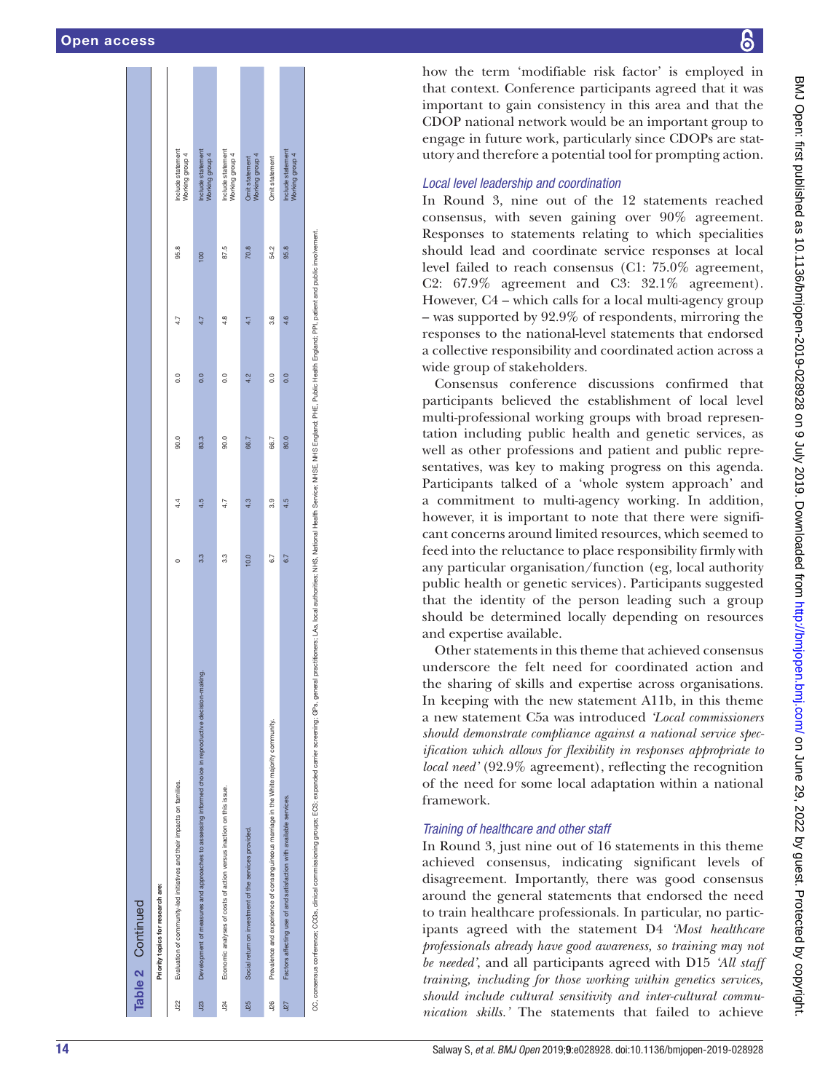|               | Table 2 Continued                                                                                                                                                                                                              |         |     |      |     |     |      |                                      |
|---------------|--------------------------------------------------------------------------------------------------------------------------------------------------------------------------------------------------------------------------------|---------|-----|------|-----|-----|------|--------------------------------------|
|               | Priority topics for research are:                                                                                                                                                                                              |         |     |      |     |     |      |                                      |
| 32            | Evaluation of community-led initiatives and their impacts on families.                                                                                                                                                         | $\circ$ | 4.4 | 90.0 | 0.0 | 4.7 | 95.8 | Include statement<br>Working group 4 |
| <b>J23</b>    | Development of measures and approaches to assessing informed choice in reproductive decision-making.                                                                                                                           | 3.3     | 4.5 | 83.3 | 0.0 | 4.7 | 100  | Include statement<br>Working group 4 |
| $\frac{1}{2}$ | Economic analyses of costs of action versus inaction on this issue.                                                                                                                                                            | 33      | 4.7 | 90.0 | 0.0 | 4.8 | 87.5 | Include statement<br>Working group 4 |
| <b>J25</b>    | Social return on investment of the services provided.                                                                                                                                                                          | 10.0    | 4.3 | 66.7 | 4.2 | 47  | 70.8 | Working group 4<br>Omit statement    |
| <b>J26</b>    | Prevalence and experience of consanguineous marriage in the White majority community.                                                                                                                                          | 6.7     | 3.9 | 66.7 | 0.0 | 3.6 | 54.2 | Omit statement                       |
| <b>127</b>    | Factors affecting use of and satisfaction with available services.                                                                                                                                                             | 6.7     | 4.5 | 80.0 | 0.0 | 4.6 | 95.8 | Include statement<br>Working group 4 |
|               | CC, consersus conference; CCGs, clinical commissioning groups; ECS; expanded carrier screening; GPs, general practitioners; LAs, local authortiles, NrtS, National theatth Service; NHSE, NHSE, NHS England; PHE, Public Healt |         |     |      |     |     |      |                                      |
|               |                                                                                                                                                                                                                                |         |     |      |     |     |      |                                      |

how the term 'modifiable risk factor' is employed in that context. Conference participants agreed that it was important to gain consistency in this area and that the CDOP national network would be an important group to engage in future work, particularly since CDOPs are statutory and therefore a potential tool for prompting action.

### *Local level leadership and coordination*

In Round 3, nine out of the 12 statements reached consensus, with seven gaining over 90% agreement. Responses to statements relating to which specialities should lead and coordinate service responses at local level failed to reach consensus (C1: 75.0% agreement, C2: 67.9% agreement and C3: 32.1% agreement). However, C4 – which calls for a local multi-agency group – was supported by 92.9% of respondents, mirroring the responses to the national-level statements that endorsed a collective responsibility and coordinated action across a wide group of stakeholders.

Consensus conference discussions confirmed that participants believed the establishment of local level multi-professional working groups with broad represen tation including public health and genetic services, as well as other professions and patient and public repre sentatives, was key to making progress on this agenda. Participants talked of a 'whole system approach' and a commitment to multi-agency working. In addition, however, it is important to note that there were signifi cant concerns around limited resources, which seemed to feed into the reluctance to place responsibility firmly with any particular organisation/function (eg, local authority public health or genetic services). Participants suggested that the identity of the person leading such a group should be determined locally depending on resources and expertise available.

Other statements in this theme that achieved consensus underscore the felt need for coordinated action and the sharing of skills and expertise across organisations. In keeping with the new statement A11b, in this theme a new statement C5a was introduced *'Local commissioners should demonstrate compliance against a national service spec ification which allows for flexibility in responses appropriate to local need'* (92.9% agreement), reflecting the recognition of the need for some local adaptation within a national framework.

## *Training of healthcare and other staff*

In Round 3, just nine out of 16 statements in this theme achieved consensus, indicating significant levels of disagreement. Importantly, there was good consensus around the general statements that endorsed the need to train healthcare professionals. In particular, no partic ipants agreed with the statement D4 *'Most healthcare professionals already have good awareness, so training may not be needed'*, and all participants agreed with D15 *'All staff training, including for those working within genetics services, should include cultural sensitivity and inter-cultural commu nication skills.'* The statements that failed to achieve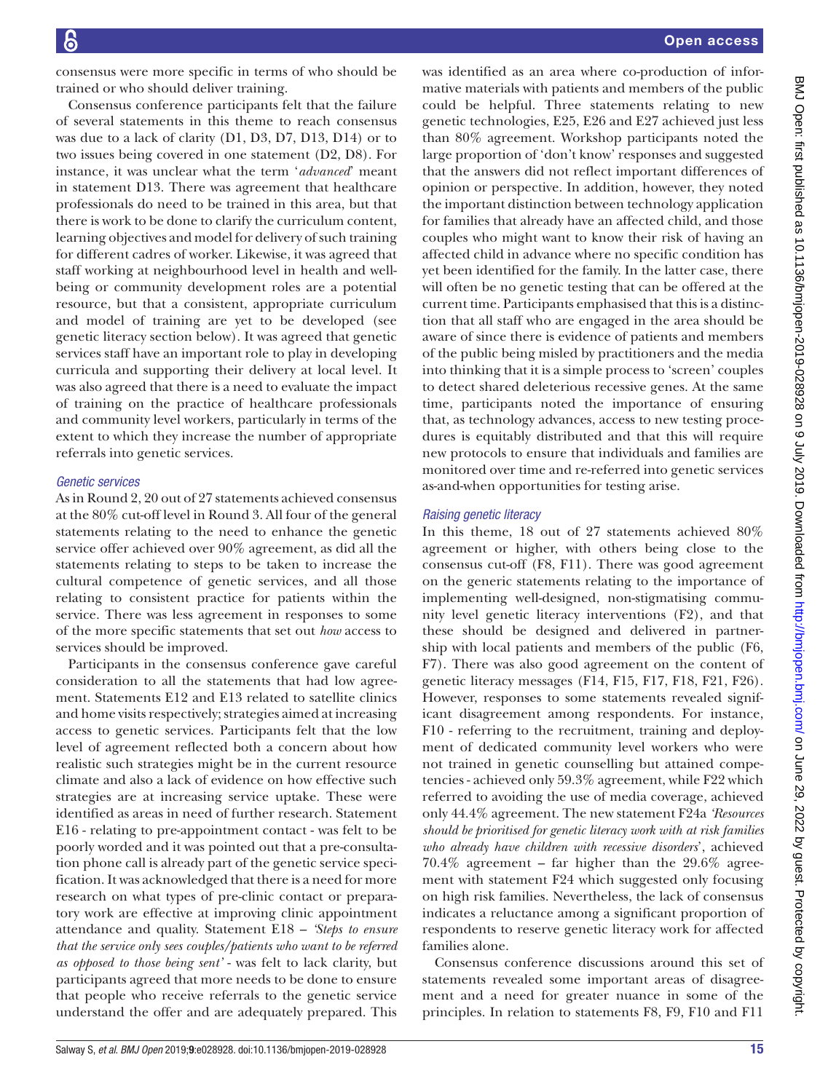consensus were more specific in terms of who should be trained or who should deliver training.

Consensus conference participants felt that the failure of several statements in this theme to reach consensus was due to a lack of clarity (D1, D3, D7, D13, D14) or to two issues being covered in one statement (D2, D8). For instance, it was unclear what the term '*advanced*' meant in statement D13. There was agreement that healthcare professionals do need to be trained in this area, but that there is work to be done to clarify the curriculum content, learning objectives and model for delivery of such training for different cadres of worker. Likewise, it was agreed that staff working at neighbourhood level in health and wellbeing or community development roles are a potential resource, but that a consistent, appropriate curriculum and model of training are yet to be developed (see genetic literacy section below). It was agreed that genetic services staff have an important role to play in developing curricula and supporting their delivery at local level. It was also agreed that there is a need to evaluate the impact of training on the practice of healthcare professionals and community level workers, particularly in terms of the extent to which they increase the number of appropriate referrals into genetic services.

### *Genetic services*

As in Round 2, 20 out of 27 statements achieved consensus at the 80% cut-off level in Round 3. All four of the general statements relating to the need to enhance the genetic service offer achieved over 90% agreement, as did all the statements relating to steps to be taken to increase the cultural competence of genetic services, and all those relating to consistent practice for patients within the service. There was less agreement in responses to some of the more specific statements that set out *how* access to services should be improved.

Participants in the consensus conference gave careful consideration to all the statements that had low agreement. Statements E12 and E13 related to satellite clinics and home visits respectively; strategies aimed at increasing access to genetic services. Participants felt that the low level of agreement reflected both a concern about how realistic such strategies might be in the current resource climate and also a lack of evidence on how effective such strategies are at increasing service uptake. These were identified as areas in need of further research. Statement E16 - relating to pre-appointment contact - was felt to be poorly worded and it was pointed out that a pre-consultation phone call is already part of the genetic service specification. It was acknowledged that there is a need for more research on what types of pre-clinic contact or preparatory work are effective at improving clinic appointment attendance and quality. Statement E18 – *'Steps to ensure that the service only sees couples/patients who want to be referred as opposed to those being sent'* - was felt to lack clarity, but participants agreed that more needs to be done to ensure that people who receive referrals to the genetic service understand the offer and are adequately prepared. This

was identified as an area where co-production of informative materials with patients and members of the public could be helpful. Three statements relating to new genetic technologies, E25, E26 and E27 achieved just less than 80% agreement. Workshop participants noted the large proportion of 'don't know' responses and suggested that the answers did not reflect important differences of opinion or perspective. In addition, however, they noted the important distinction between technology application for families that already have an affected child, and those couples who might want to know their risk of having an affected child in advance where no specific condition has yet been identified for the family. In the latter case, there will often be no genetic testing that can be offered at the current time. Participants emphasised that this is a distinction that all staff who are engaged in the area should be aware of since there is evidence of patients and members of the public being misled by practitioners and the media into thinking that it is a simple process to 'screen' couples to detect shared deleterious recessive genes. At the same time, participants noted the importance of ensuring that, as technology advances, access to new testing procedures is equitably distributed and that this will require new protocols to ensure that individuals and families are monitored over time and re-referred into genetic services as-and-when opportunities for testing arise.

#### *Raising genetic literacy*

In this theme, 18 out of 27 statements achieved 80% agreement or higher, with others being close to the consensus cut-off (F8, F11). There was good agreement on the generic statements relating to the importance of implementing well-designed, non-stigmatising community level genetic literacy interventions (F2), and that these should be designed and delivered in partnership with local patients and members of the public (F6, F7). There was also good agreement on the content of genetic literacy messages (F14, F15, F17, F18, F21, F26). However, responses to some statements revealed significant disagreement among respondents. For instance, F10 - referring to the recruitment, training and deployment of dedicated community level workers who were not trained in genetic counselling but attained competencies - achieved only 59.3% agreement, while F22 which referred to avoiding the use of media coverage, achieved only 44.4% agreement. The new statement F24a *'Resources should be prioritised for genetic literacy work with at risk families who already have children with recessive disorders*', achieved 70.4% agreement – far higher than the 29.6% agreement with statement F24 which suggested only focusing on high risk families. Nevertheless, the lack of consensus indicates a reluctance among a significant proportion of respondents to reserve genetic literacy work for affected families alone.

Consensus conference discussions around this set of statements revealed some important areas of disagreement and a need for greater nuance in some of the principles. In relation to statements F8, F9, F10 and F11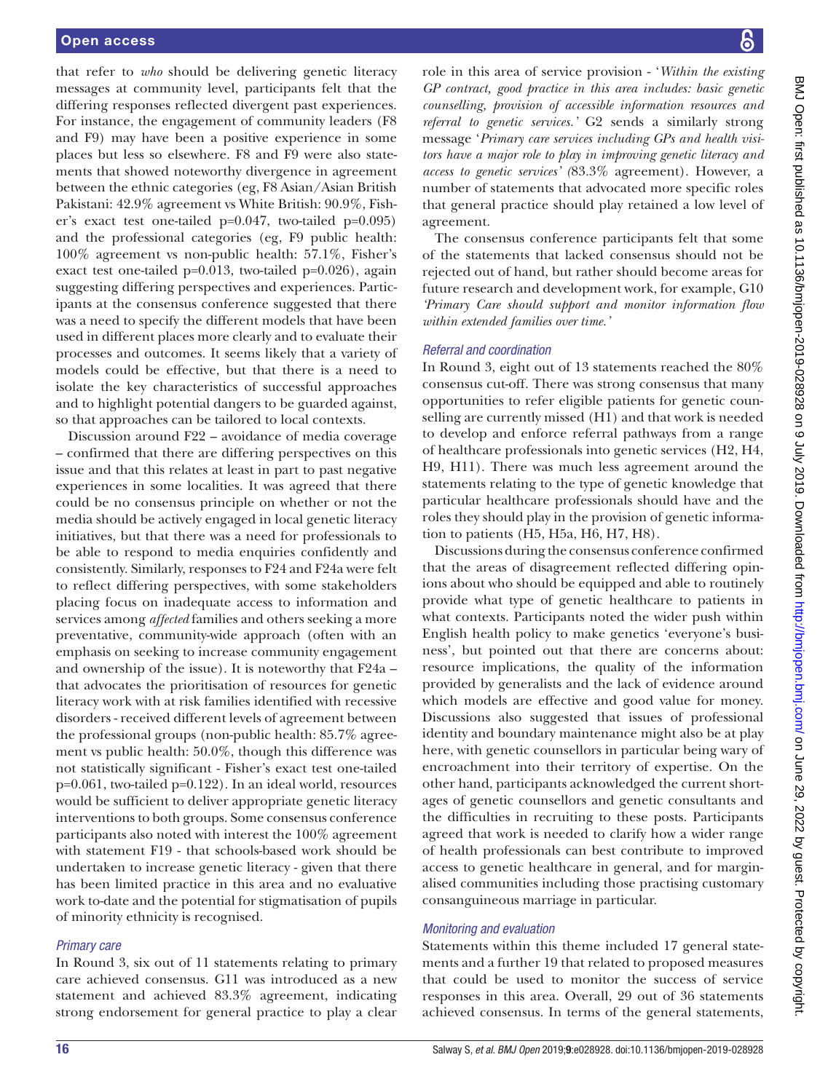that refer to *who* should be delivering genetic literacy messages at community level, participants felt that the differing responses reflected divergent past experiences. For instance, the engagement of community leaders (F8 and F9) may have been a positive experience in some places but less so elsewhere. F8 and F9 were also statements that showed noteworthy divergence in agreement between the ethnic categories (eg, F8 Asian/Asian British Pakistani: 42.9% agreement vs White British: 90.9%, Fisher's exact test one-tailed p=0.047, two-tailed p=0.095) and the professional categories (eg, F9 public health: 100% agreement vs non-public health: 57.1%, Fisher's exact test one-tailed p=0.013, two-tailed p=0.026), again suggesting differing perspectives and experiences. Participants at the consensus conference suggested that there was a need to specify the different models that have been used in different places more clearly and to evaluate their processes and outcomes. It seems likely that a variety of models could be effective, but that there is a need to isolate the key characteristics of successful approaches and to highlight potential dangers to be guarded against, so that approaches can be tailored to local contexts.

Discussion around F22 – avoidance of media coverage – confirmed that there are differing perspectives on this issue and that this relates at least in part to past negative experiences in some localities. It was agreed that there could be no consensus principle on whether or not the media should be actively engaged in local genetic literacy initiatives, but that there was a need for professionals to be able to respond to media enquiries confidently and consistently. Similarly, responses to F24 and F24a were felt to reflect differing perspectives, with some stakeholders placing focus on inadequate access to information and services among *affected* families and others seeking a more preventative, community-wide approach (often with an emphasis on seeking to increase community engagement and ownership of the issue). It is noteworthy that F24a – that advocates the prioritisation of resources for genetic literacy work with at risk families identified with recessive disorders - received different levels of agreement between the professional groups (non-public health: 85.7% agreement vs public health: 50.0%, though this difference was not statistically significant - Fisher's exact test one-tailed p=0.061, two-tailed p=0.122). In an ideal world, resources would be sufficient to deliver appropriate genetic literacy interventions to both groups. Some consensus conference participants also noted with interest the 100% agreement with statement F19 - that schools-based work should be undertaken to increase genetic literacy - given that there has been limited practice in this area and no evaluative work to-date and the potential for stigmatisation of pupils of minority ethnicity is recognised.

### *Primary care*

In Round 3, six out of 11 statements relating to primary care achieved consensus. G11 was introduced as a new statement and achieved 83.3% agreement, indicating strong endorsement for general practice to play a clear

role in this area of service provision - '*Within the existing GP contract, good practice in this area includes: basic genetic counselling, provision of accessible information resources and referral to genetic services.'* G2 sends a similarly strong message '*Primary care services including GPs and health visitors have a major role to play in improving genetic literacy and access to genetic services' (*83.3% agreement). However, a number of statements that advocated more specific roles that general practice should play retained a low level of agreement.

The consensus conference participants felt that some of the statements that lacked consensus should not be rejected out of hand, but rather should become areas for future research and development work, for example, G10 *'Primary Care should support and monitor information flow within extended families over time.'*

### *Referral and coordination*

In Round 3, eight out of 13 statements reached the 80% consensus cut-off. There was strong consensus that many opportunities to refer eligible patients for genetic counselling are currently missed (H1) and that work is needed to develop and enforce referral pathways from a range of healthcare professionals into genetic services (H2, H4, H9, H11). There was much less agreement around the statements relating to the type of genetic knowledge that particular healthcare professionals should have and the roles they should play in the provision of genetic information to patients (H5, H5a, H6, H7, H8).

Discussions during the consensus conference confirmed that the areas of disagreement reflected differing opinions about who should be equipped and able to routinely provide what type of genetic healthcare to patients in what contexts. Participants noted the wider push within English health policy to make genetics 'everyone's business', but pointed out that there are concerns about: resource implications, the quality of the information provided by generalists and the lack of evidence around which models are effective and good value for money. Discussions also suggested that issues of professional identity and boundary maintenance might also be at play here, with genetic counsellors in particular being wary of encroachment into their territory of expertise. On the other hand, participants acknowledged the current shortages of genetic counsellors and genetic consultants and the difficulties in recruiting to these posts. Participants agreed that work is needed to clarify how a wider range of health professionals can best contribute to improved access to genetic healthcare in general, and for marginalised communities including those practising customary consanguineous marriage in particular.

### *Monitoring and evaluation*

Statements within this theme included 17 general statements and a further 19 that related to proposed measures that could be used to monitor the success of service responses in this area. Overall, 29 out of 36 statements achieved consensus. In terms of the general statements,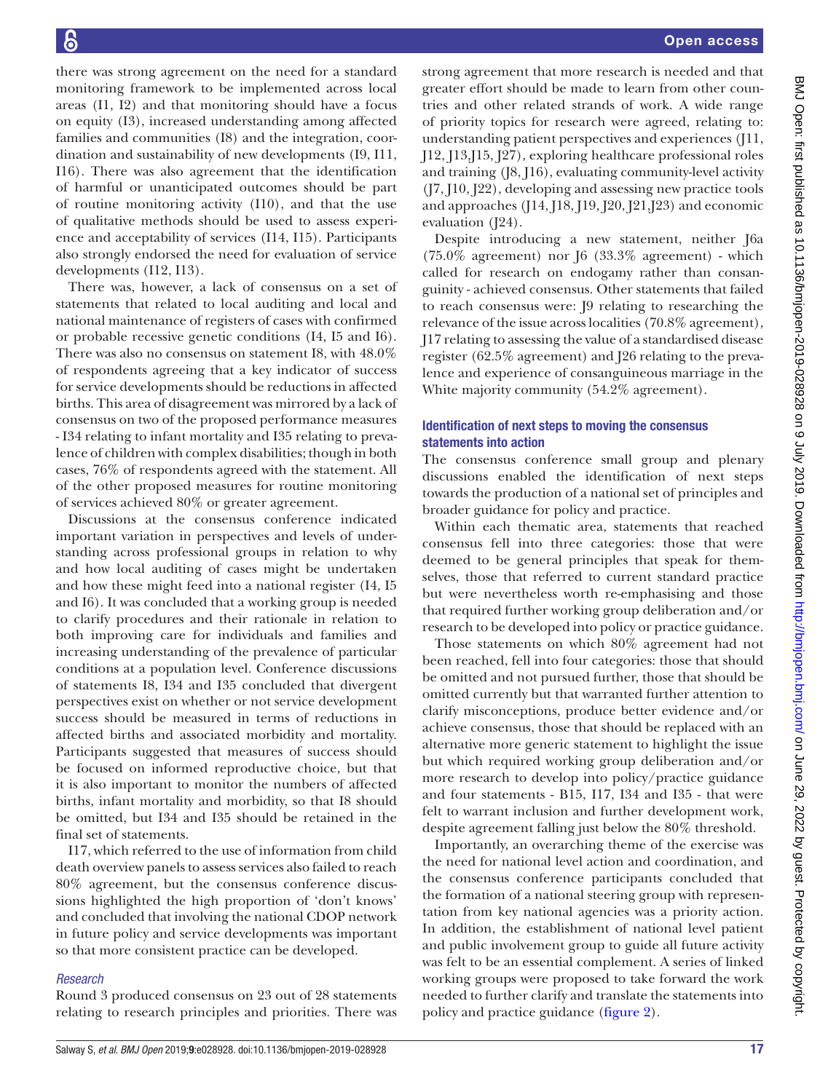there was strong agreement on the need for a standard monitoring framework to be implemented across local areas (I1, I2) and that monitoring should have a focus on equity (I3), increased understanding among affected families and communities (I8) and the integration, coordination and sustainability of new developments (I9, I11, I16). There was also agreement that the identification of harmful or unanticipated outcomes should be part of routine monitoring activity (I10), and that the use of qualitative methods should be used to assess experience and acceptability of services (I14, I15). Participants also strongly endorsed the need for evaluation of service developments (I12, I13).

There was, however, a lack of consensus on a set of statements that related to local auditing and local and national maintenance of registers of cases with confirmed or probable recessive genetic conditions (I4, I5 and I6). There was also no consensus on statement I8, with 48.0% of respondents agreeing that a key indicator of success for service developments should be reductions in affected births. This area of disagreement was mirrored by a lack of consensus on two of the proposed performance measures - I34 relating to infant mortality and I35 relating to prevalence of children with complex disabilities; though in both cases, 76% of respondents agreed with the statement. All of the other proposed measures for routine monitoring of services achieved 80% or greater agreement.

Discussions at the consensus conference indicated important variation in perspectives and levels of understanding across professional groups in relation to why and how local auditing of cases might be undertaken and how these might feed into a national register (I4, I5 and I6). It was concluded that a working group is needed to clarify procedures and their rationale in relation to both improving care for individuals and families and increasing understanding of the prevalence of particular conditions at a population level. Conference discussions of statements I8, I34 and I35 concluded that divergent perspectives exist on whether or not service development success should be measured in terms of reductions in affected births and associated morbidity and mortality. Participants suggested that measures of success should be focused on informed reproductive choice, but that it is also important to monitor the numbers of affected births, infant mortality and morbidity, so that I8 should be omitted, but I34 and I35 should be retained in the final set of statements.

I17, which referred to the use of information from child death overview panels to assess services also failed to reach 80% agreement, but the consensus conference discussions highlighted the high proportion of 'don't knows' and concluded that involving the national CDOP network in future policy and service developments was important so that more consistent practice can be developed.

### *Research*

Round 3 produced consensus on 23 out of 28 statements relating to research principles and priorities. There was

strong agreement that more research is needed and that greater effort should be made to learn from other countries and other related strands of work. A wide range of priority topics for research were agreed, relating to: understanding patient perspectives and experiences (J11, J12, J13,J15, J27), exploring healthcare professional roles and training (J8, J16), evaluating community-level activity (J7, J10, J22), developing and assessing new practice tools and approaches (J14, J18, J19, J20, J21,J23) and economic evaluation (J24).

Despite introducing a new statement, neither J6a (75.0% agreement) nor J6 (33.3% agreement) - which called for research on endogamy rather than consanguinity - achieved consensus. Other statements that failed to reach consensus were: J9 relating to researching the relevance of the issue across localities (70.8% agreement), J17 relating to assessing the value of a standardised disease register (62.5% agreement) and J26 relating to the prevalence and experience of consanguineous marriage in the White majority community (54.2% agreement).

### Identification of next steps to moving the consensus statements into action

The consensus conference small group and plenary discussions enabled the identification of next steps towards the production of a national set of principles and broader guidance for policy and practice.

Within each thematic area, statements that reached consensus fell into three categories: those that were deemed to be general principles that speak for themselves, those that referred to current standard practice but were nevertheless worth re-emphasising and those that required further working group deliberation and/or research to be developed into policy or practice guidance.

Those statements on which 80% agreement had not been reached, fell into four categories: those that should be omitted and not pursued further, those that should be omitted currently but that warranted further attention to clarify misconceptions, produce better evidence and/or achieve consensus, those that should be replaced with an alternative more generic statement to highlight the issue but which required working group deliberation and/or more research to develop into policy/practice guidance and four statements - B15, I17, I34 and I35 - that were felt to warrant inclusion and further development work, despite agreement falling just below the 80% threshold.

Importantly, an overarching theme of the exercise was the need for national level action and coordination, and the consensus conference participants concluded that the formation of a national steering group with representation from key national agencies was a priority action. In addition, the establishment of national level patient and public involvement group to guide all future activity was felt to be an essential complement. A series of linked working groups were proposed to take forward the work needed to further clarify and translate the statements into policy and practice guidance ([figure](#page-17-0) 2).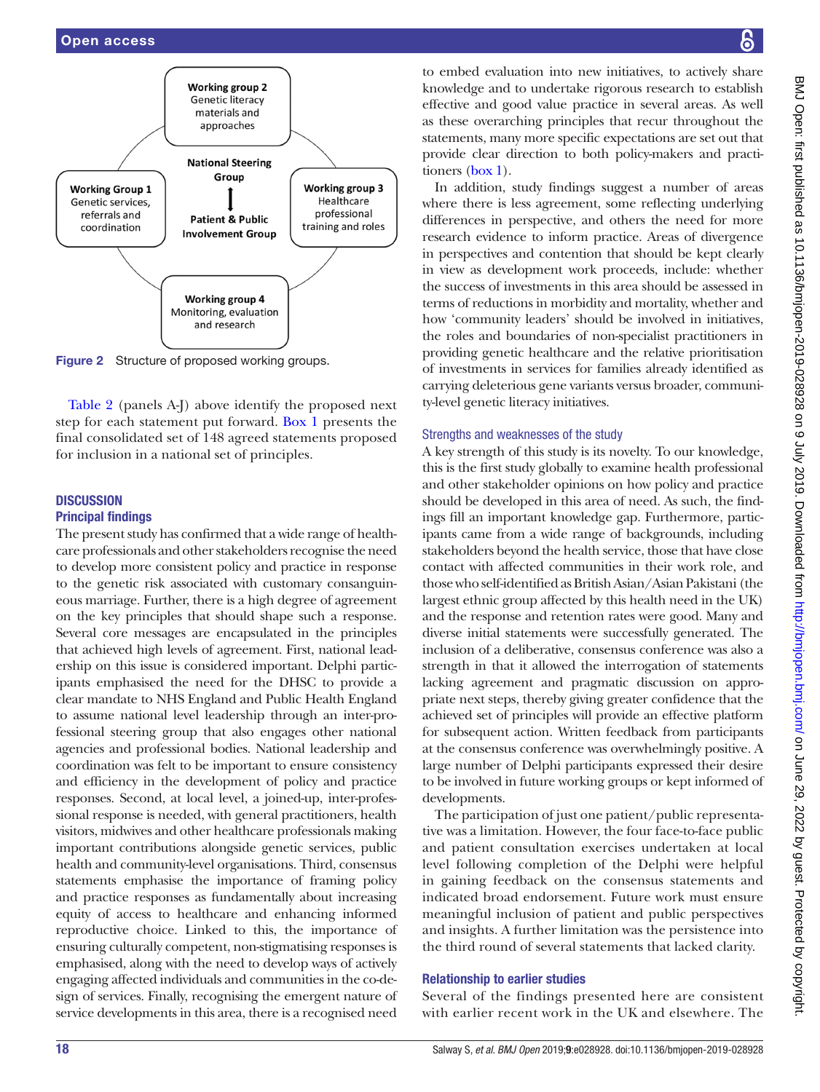

<span id="page-17-0"></span>Figure 2 Structure of proposed working groups.

[Table](#page-5-0) 2 (panels A-J) above identify the proposed next step for each statement put forward. [Box](#page-18-0) 1 presents the final consolidated set of 148 agreed statements proposed for inclusion in a national set of principles.

### **DISCUSSION**

### Principal findings

The present study has confirmed that a wide range of healthcare professionals and other stakeholders recognise the need to develop more consistent policy and practice in response to the genetic risk associated with customary consanguineous marriage. Further, there is a high degree of agreement on the key principles that should shape such a response. Several core messages are encapsulated in the principles that achieved high levels of agreement. First, national leadership on this issue is considered important. Delphi participants emphasised the need for the DHSC to provide a clear mandate to NHS England and Public Health England to assume national level leadership through an inter-professional steering group that also engages other national agencies and professional bodies. National leadership and coordination was felt to be important to ensure consistency and efficiency in the development of policy and practice responses. Second, at local level, a joined-up, inter-professional response is needed, with general practitioners, health visitors, midwives and other healthcare professionals making important contributions alongside genetic services, public health and community-level organisations. Third, consensus statements emphasise the importance of framing policy and practice responses as fundamentally about increasing equity of access to healthcare and enhancing informed reproductive choice. Linked to this, the importance of ensuring culturally competent, non-stigmatising responses is emphasised, along with the need to develop ways of actively engaging affected individuals and communities in the co-design of services. Finally, recognising the emergent nature of service developments in this area, there is a recognised need

to embed evaluation into new initiatives, to actively share knowledge and to undertake rigorous research to establish effective and good value practice in several areas. As well as these overarching principles that recur throughout the statements, many more specific expectations are set out that provide clear direction to both policy-makers and practitioners [\(box](#page-18-0) 1).

In addition, study findings suggest a number of areas where there is less agreement, some reflecting underlying differences in perspective, and others the need for more research evidence to inform practice. Areas of divergence in perspectives and contention that should be kept clearly in view as development work proceeds, include: whether the success of investments in this area should be assessed in terms of reductions in morbidity and mortality, whether and how 'community leaders' should be involved in initiatives, the roles and boundaries of non-specialist practitioners in providing genetic healthcare and the relative prioritisation of investments in services for families already identified as carrying deleterious gene variants versus broader, community-level genetic literacy initiatives.

### Strengths and weaknesses of the study

A key strength of this study is its novelty. To our knowledge, this is the first study globally to examine health professional and other stakeholder opinions on how policy and practice should be developed in this area of need. As such, the findings fill an important knowledge gap. Furthermore, participants came from a wide range of backgrounds, including stakeholders beyond the health service, those that have close contact with affected communities in their work role, and those who self-identified as British Asian/Asian Pakistani (the largest ethnic group affected by this health need in the UK) and the response and retention rates were good. Many and diverse initial statements were successfully generated. The inclusion of a deliberative, consensus conference was also a strength in that it allowed the interrogation of statements lacking agreement and pragmatic discussion on appropriate next steps, thereby giving greater confidence that the achieved set of principles will provide an effective platform for subsequent action. Written feedback from participants at the consensus conference was overwhelmingly positive. A large number of Delphi participants expressed their desire to be involved in future working groups or kept informed of developments.

The participation of just one patient/public representative was a limitation. However, the four face-to-face public and patient consultation exercises undertaken at local level following completion of the Delphi were helpful in gaining feedback on the consensus statements and indicated broad endorsement. Future work must ensure meaningful inclusion of patient and public perspectives and insights. A further limitation was the persistence into the third round of several statements that lacked clarity.

### Relationship to earlier studies

Several of the findings presented here are consistent with earlier recent work in the UK and elsewhere. The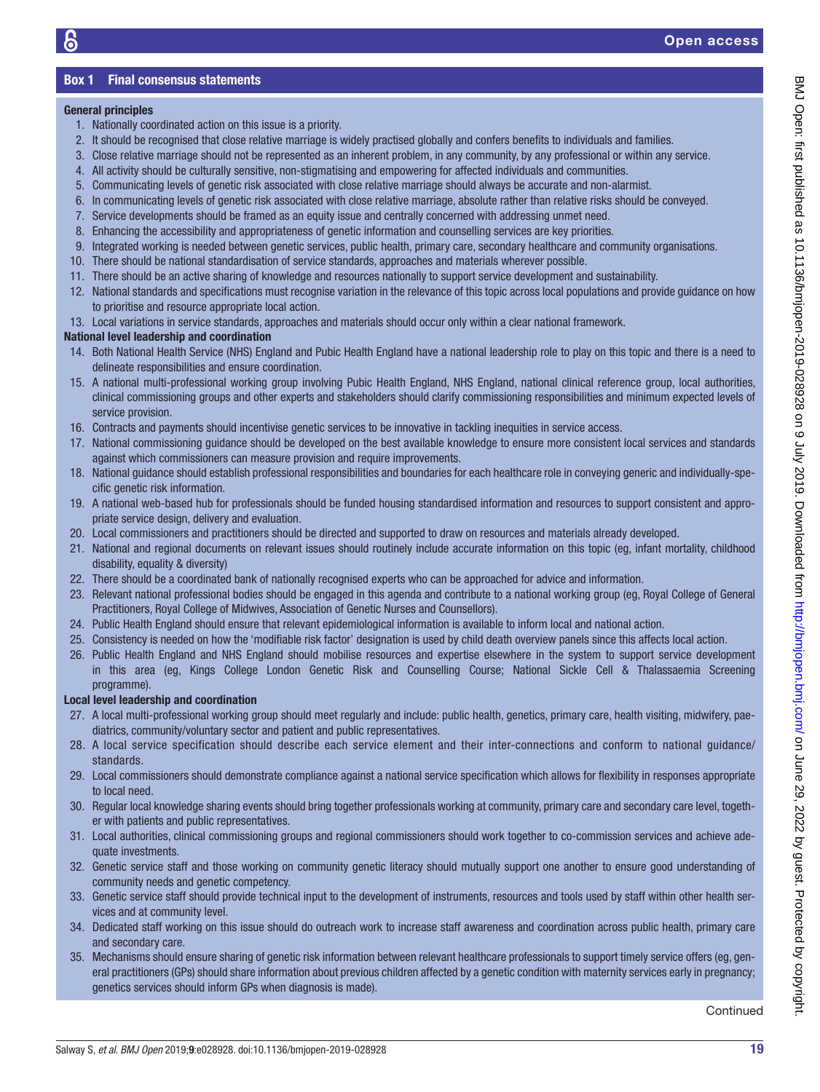### Box 1 Final consensus statements

#### <span id="page-18-0"></span>General principles

- 1. Nationally coordinated action on this issue is a priority.
- 2. It should be recognised that close relative marriage is widely practised globally and confers benefits to individuals and families.
- 3. Close relative marriage should not be represented as an inherent problem, in any community, by any professional or within any service.
- 4. All activity should be culturally sensitive, non-stigmatising and empowering for affected individuals and communities.
- 5. Communicating levels of genetic risk associated with close relative marriage should always be accurate and non-alarmist.
- 6. In communicating levels of genetic risk associated with close relative marriage, absolute rather than relative risks should be conveyed.
- 7. Service developments should be framed as an equity issue and centrally concerned with addressing unmet need.
- 8. Enhancing the accessibility and appropriateness of genetic information and counselling services are key priorities.
- 9. Integrated working is needed between genetic services, public health, primary care, secondary healthcare and community organisations.
- 10. There should be national standardisation of service standards, approaches and materials wherever possible.
- 11. There should be an active sharing of knowledge and resources nationally to support service development and sustainability.
- 12. National standards and specifications must recognise variation in the relevance of this topic across local populations and provide guidance on how to prioritise and resource appropriate local action.
- 13. Local variations in service standards, approaches and materials should occur only within a clear national framework.

### National level leadership and coordination

- 14. Both National Health Service (NHS) England and Pubic Health England have a national leadership role to play on this topic and there is a need to delineate responsibilities and ensure coordination.
- 15. A national multi-professional working group involving Pubic Health England, NHS England, national clinical reference group, local authorities, clinical commissioning groups and other experts and stakeholders should clarify commissioning responsibilities and minimum expected levels of service provision.
- 16. Contracts and payments should incentivise genetic services to be innovative in tackling inequities in service access.
- 17. National commissioning guidance should be developed on the best available knowledge to ensure more consistent local services and standards against which commissioners can measure provision and require improvements.
- 18. National guidance should establish professional responsibilities and boundaries for each healthcare role in conveying generic and individually-specific genetic risk information.
- 19. A national web-based hub for professionals should be funded housing standardised information and resources to support consistent and appropriate service design, delivery and evaluation.
- 20. Local commissioners and practitioners should be directed and supported to draw on resources and materials already developed.
- 21. National and regional documents on relevant issues should routinely include accurate information on this topic (eg, infant mortality, childhood disability, equality & diversity)
- 22. There should be a coordinated bank of nationally recognised experts who can be approached for advice and information.
- 23. Relevant national professional bodies should be engaged in this agenda and contribute to a national working group (eg, Royal College of General Practitioners, Royal College of Midwives, Association of Genetic Nurses and Counsellors).
- 24. Public Health England should ensure that relevant epidemiological information is available to inform local and national action.
- 25. Consistency is needed on how the 'modifiable risk factor' designation is used by child death overview panels since this affects local action.
- 26. Public Health England and NHS England should mobilise resources and expertise elsewhere in the system to support service development in this area (eg, Kings College London Genetic Risk and Counselling Course; National Sickle Cell & Thalassaemia Screening programme).

### Local level leadership and coordination

- 27. A local multi-professional working group should meet regularly and include: public health, genetics, primary care, health visiting, midwifery, paediatrics, community/voluntary sector and patient and public representatives.
- 28. A local service specification should describe each service element and their inter-connections and conform to national guidance/ standards.
- 29. Local commissioners should demonstrate compliance against a national service specification which allows for flexibility in responses appropriate to local need.
- 30. Regular local knowledge sharing events should bring together professionals working at community, primary care and secondary care level, together with patients and public representatives.
- 31. Local authorities, clinical commissioning groups and regional commissioners should work together to co-commission services and achieve adequate investments.
- 32. Genetic service staff and those working on community genetic literacy should mutually support one another to ensure good understanding of community needs and genetic competency.
- 33. Genetic service staff should provide technical input to the development of instruments, resources and tools used by staff within other health services and at community level.
- 34. Dedicated staff working on this issue should do outreach work to increase staff awareness and coordination across public health, primary care and secondary care.
- 35. Mechanisms should ensure sharing of genetic risk information between relevant healthcare professionals to support timely service offers (eg, general practitioners (GPs) should share information about previous children affected by a genetic condition with maternity services early in pregnancy; genetics services should inform GPs when diagnosis is made).

**Continued**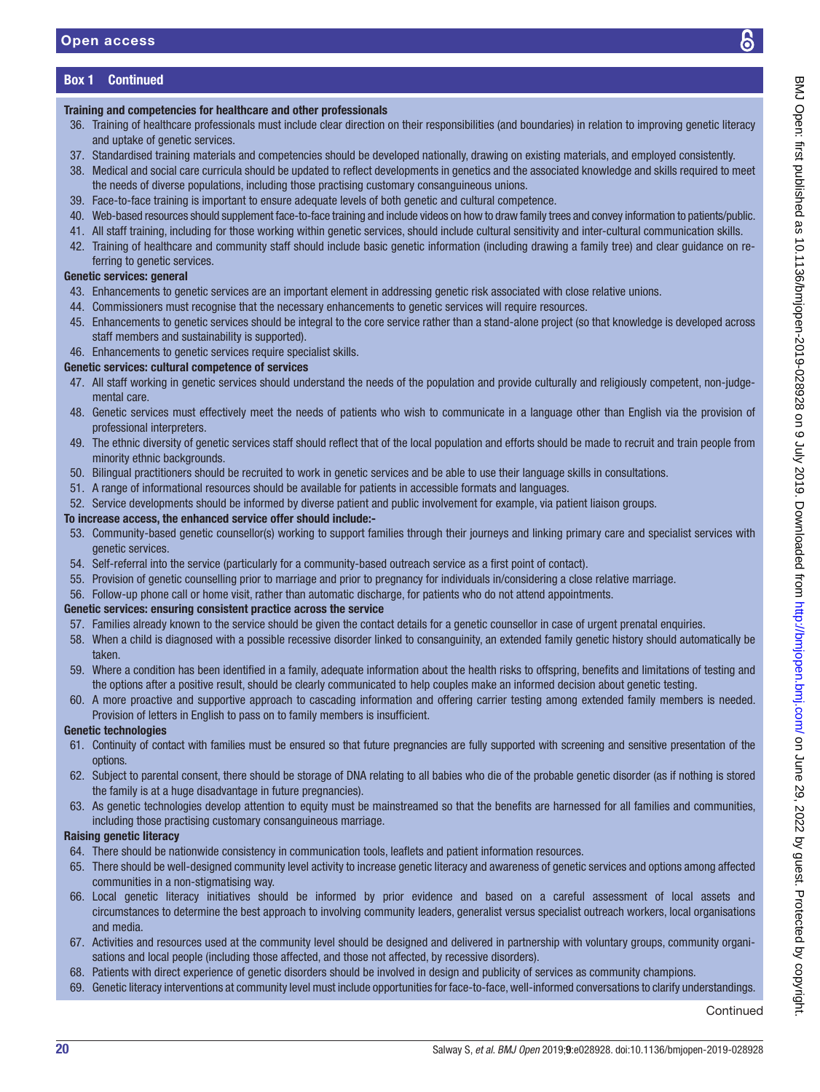### Box 1 Continued

### Training and competencies for healthcare and other professionals

- 36. Training of healthcare professionals must include clear direction on their responsibilities (and boundaries) in relation to improving genetic literacy and uptake of genetic services.
- 37. Standardised training materials and competencies should be developed nationally, drawing on existing materials, and employed consistently.
- 38. Medical and social care curricula should be updated to reflect developments in genetics and the associated knowledge and skills required to meet the needs of diverse populations, including those practising customary consanguineous unions.
- 39. Face-to-face training is important to ensure adequate levels of both genetic and cultural competence.
- 40. Web-based resources should supplement face-to-face training and include videos on how to draw family trees and convey information to patients/public.
- 41. All staff training, including for those working within genetic services, should include cultural sensitivity and inter-cultural communication skills.
- 42. Training of healthcare and community staff should include basic genetic information (including drawing a family tree) and clear guidance on referring to genetic services.

### Genetic services: general

- 43. Enhancements to genetic services are an important element in addressing genetic risk associated with close relative unions.
- 44. Commissioners must recognise that the necessary enhancements to genetic services will require resources.
- 45. Enhancements to genetic services should be integral to the core service rather than a stand-alone project (so that knowledge is developed across staff members and sustainability is supported).
- 46. Enhancements to genetic services require specialist skills.

### Genetic services: cultural competence of services

- 47. All staff working in genetic services should understand the needs of the population and provide culturally and religiously competent, non-judgemental care.
- 48. Genetic services must effectively meet the needs of patients who wish to communicate in a language other than English via the provision of professional interpreters.
- 49. The ethnic diversity of genetic services staff should reflect that of the local population and efforts should be made to recruit and train people from minority ethnic backgrounds.
- 50. Bilingual practitioners should be recruited to work in genetic services and be able to use their language skills in consultations.
- 51. A range of informational resources should be available for patients in accessible formats and languages.
- 52. Service developments should be informed by diverse patient and public involvement for example, via patient liaison groups.

### To increase access, the enhanced service offer should include:-

- 53. Community-based genetic counsellor(s) working to support families through their journeys and linking primary care and specialist services with genetic services.
- 54. Self-referral into the service (particularly for a community-based outreach service as a first point of contact).
- 55. Provision of genetic counselling prior to marriage and prior to pregnancy for individuals in/considering a close relative marriage.
- 56. Follow-up phone call or home visit, rather than automatic discharge, for patients who do not attend appointments.

### Genetic services: ensuring consistent practice across the service

- 57. Families already known to the service should be given the contact details for a genetic counsellor in case of urgent prenatal enquiries.
- 58. When a child is diagnosed with a possible recessive disorder linked to consanguinity, an extended family genetic history should automatically be taken.
- 59. Where a condition has been identified in a family, adequate information about the health risks to offspring, benefits and limitations of testing and the options after a positive result, should be clearly communicated to help couples make an informed decision about genetic testing.
- 60. A more proactive and supportive approach to cascading information and offering carrier testing among extended family members is needed. Provision of letters in English to pass on to family members is insufficient.

### Genetic technologies

- 61. Continuity of contact with families must be ensured so that future pregnancies are fully supported with screening and sensitive presentation of the options.
- 62. Subject to parental consent, there should be storage of DNA relating to all babies who die of the probable genetic disorder (as if nothing is stored the family is at a huge disadvantage in future pregnancies).
- 63. As genetic technologies develop attention to equity must be mainstreamed so that the benefits are harnessed for all families and communities, including those practising customary consanguineous marriage.

### Raising genetic literacy

- 64. There should be nationwide consistency in communication tools, leaflets and patient information resources.
- 65. There should be well-designed community level activity to increase genetic literacy and awareness of genetic services and options among affected communities in a non-stigmatising way.
- 66. Local genetic literacy initiatives should be informed by prior evidence and based on a careful assessment of local assets and circumstances to determine the best approach to involving community leaders, generalist versus specialist outreach workers, local organisations and media.
- 67. Activities and resources used at the community level should be designed and delivered in partnership with voluntary groups, community organisations and local people (including those affected, and those not affected, by recessive disorders).
- 68. Patients with direct experience of genetic disorders should be involved in design and publicity of services as community champions.
- 69. Genetic literacy interventions at community level must include opportunities for face-to-face, well-informed conversations to clarify understandings.

**Continued**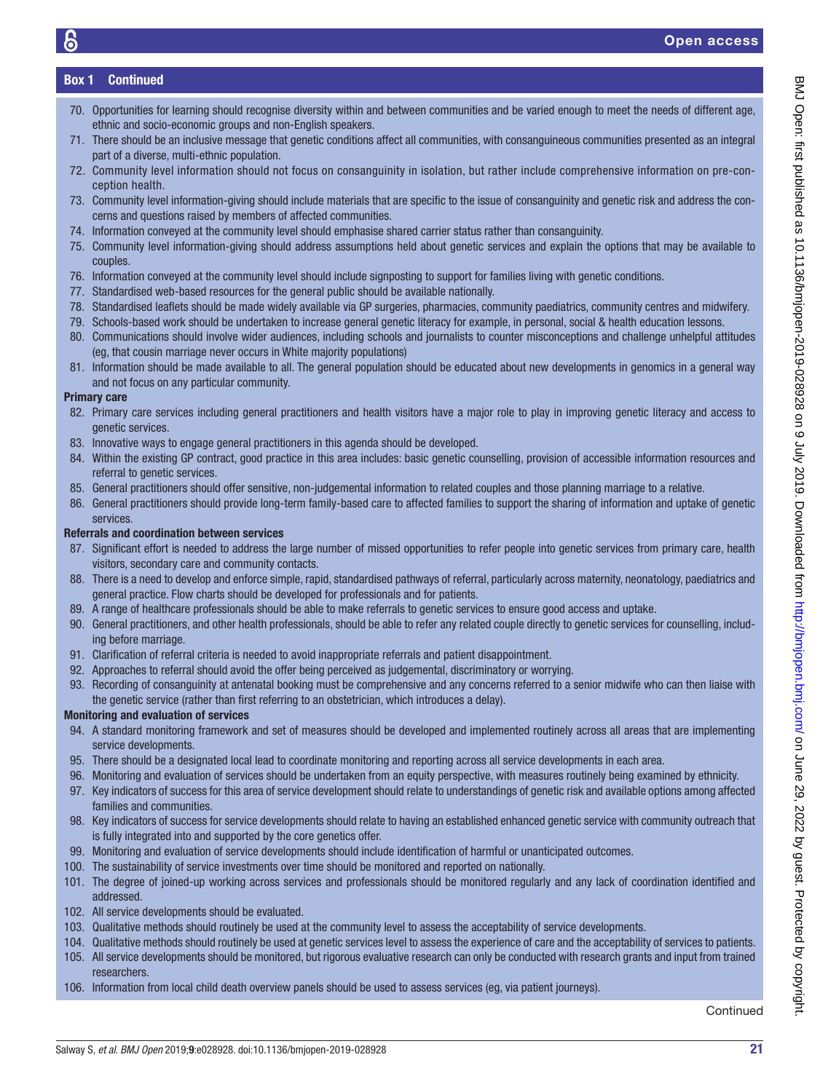### Box 1 Continued

- 70. Opportunities for learning should recognise diversity within and between communities and be varied enough to meet the needs of different age, ethnic and socio-economic groups and non-English speakers.
- 71. There should be an inclusive message that genetic conditions affect all communities, with consanguineous communities presented as an integral part of a diverse, multi-ethnic population.
- 72. Community level information should not focus on consanguinity in isolation, but rather include comprehensive information on pre-conception health.
- 73. Community level information-giving should include materials that are specific to the issue of consanguinity and genetic risk and address the concerns and questions raised by members of affected communities.
- 74. Information conveyed at the community level should emphasise shared carrier status rather than consanguinity.
- 75. Community level information-giving should address assumptions held about genetic services and explain the options that may be available to couples.
- 76. Information conveyed at the community level should include signposting to support for families living with genetic conditions.
- 77. Standardised web-based resources for the general public should be available nationally.
- 78. Standardised leaflets should be made widely available via GP surgeries, pharmacies, community paediatrics, community centres and midwifery.
- 79. Schools-based work should be undertaken to increase general genetic literacy for example, in personal, social & health education lessons.
- 80. Communications should involve wider audiences, including schools and journalists to counter misconceptions and challenge unhelpful attitudes (eg, that cousin marriage never occurs in White majority populations)
- 81. Information should be made available to all. The general population should be educated about new developments in genomics in a general way and not focus on any particular community.

### Primary care

- 82. Primary care services including general practitioners and health visitors have a major role to play in improving genetic literacy and access to genetic services.
- 83. Innovative ways to engage general practitioners in this agenda should be developed.
- 84. Within the existing GP contract, good practice in this area includes: basic genetic counselling, provision of accessible information resources and referral to genetic services.
- 85. General practitioners should offer sensitive, non-judgemental information to related couples and those planning marriage to a relative.
- 86. General practitioners should provide long-term family-based care to affected families to support the sharing of information and uptake of genetic services.

### Referrals and coordination between services

- 87. Significant effort is needed to address the large number of missed opportunities to refer people into genetic services from primary care, health visitors, secondary care and community contacts.
- 88. There is a need to develop and enforce simple, rapid, standardised pathways of referral, particularly across maternity, neonatology, paediatrics and general practice. Flow charts should be developed for professionals and for patients.
- 89. A range of healthcare professionals should be able to make referrals to genetic services to ensure good access and uptake.
- 90. General practitioners, and other health professionals, should be able to refer any related couple directly to genetic services for counselling, including before marriage.
- 91. Clarification of referral criteria is needed to avoid inappropriate referrals and patient disappointment.
- 92. Approaches to referral should avoid the offer being perceived as judgemental, discriminatory or worrying.
- 93. Recording of consanguinity at antenatal booking must be comprehensive and any concerns referred to a senior midwife who can then liaise with the genetic service (rather than first referring to an obstetrician, which introduces a delay).

### Monitoring and evaluation of services

- 94. A standard monitoring framework and set of measures should be developed and implemented routinely across all areas that are implementing service developments.
- 95. There should be a designated local lead to coordinate monitoring and reporting across all service developments in each area.
- 96. Monitoring and evaluation of services should be undertaken from an equity perspective, with measures routinely being examined by ethnicity.
- 97. Key indicators of success for this area of service development should relate to understandings of genetic risk and available options among affected families and communities.
- 98. Key indicators of success for service developments should relate to having an established enhanced genetic service with community outreach that is fully integrated into and supported by the core genetics offer.
- 99. Monitoring and evaluation of service developments should include identification of harmful or unanticipated outcomes.
- 100. The sustainability of service investments over time should be monitored and reported on nationally.
- 101. The degree of joined-up working across services and professionals should be monitored regularly and any lack of coordination identified and addressed.
- 102. All service developments should be evaluated.
- 103. Qualitative methods should routinely be used at the community level to assess the acceptability of service developments.
- 104. Qualitative methods should routinely be used at genetic services level to assess the experience of care and the acceptability of services to patients.
- 105. All service developments should be monitored, but rigorous evaluative research can only be conducted with research grants and input from trained researchers.
- 106. Information from local child death overview panels should be used to assess services (eg, via patient journeys).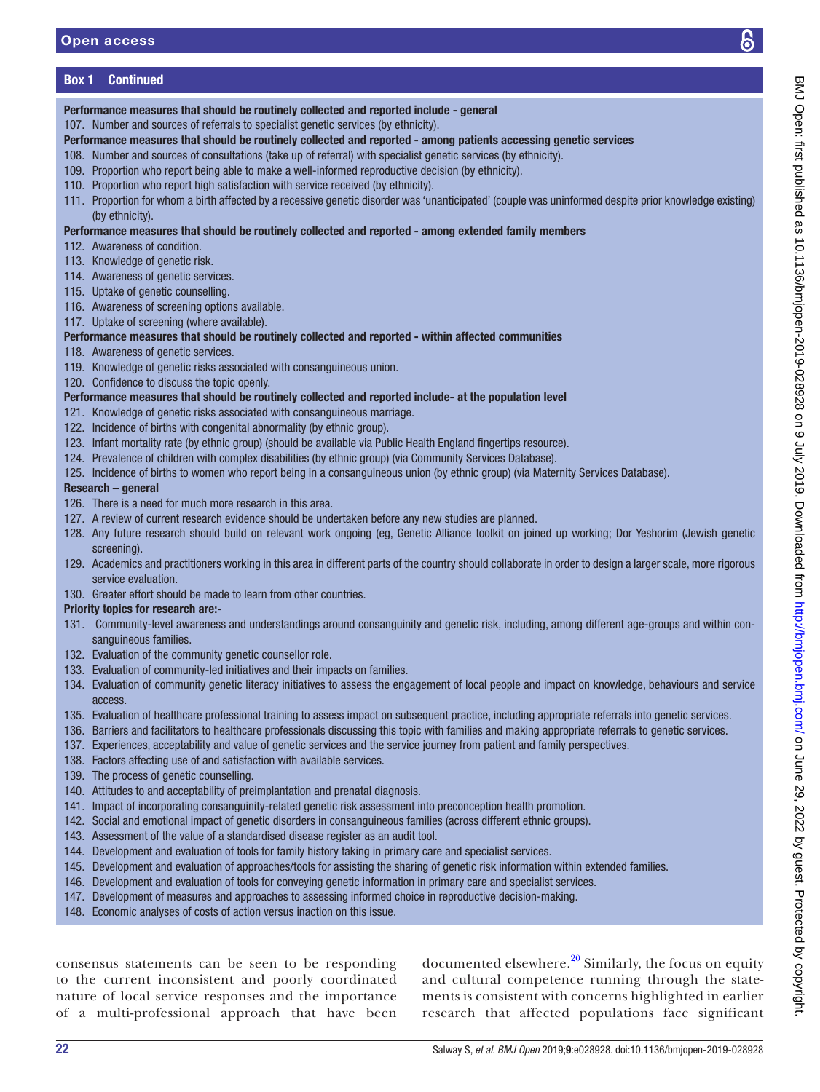### Box 1 Continued

### Performance measures that should be routinely collected and reported include - general

107. Number and sources of referrals to specialist genetic services (by ethnicity).

### Performance measures that should be routinely collected and reported - among patients accessing genetic services

- 108. Number and sources of consultations (take up of referral) with specialist genetic services (by ethnicity).
- 109. Proportion who report being able to make a well-informed reproductive decision (by ethnicity).
- 110. Proportion who report high satisfaction with service received (by ethnicity).
- 111. Proportion for whom a birth affected by a recessive genetic disorder was 'unanticipated' (couple was uninformed despite prior knowledge existing) (by ethnicity).

### Performance measures that should be routinely collected and reported - among extended family members

- 112. Awareness of condition.
- 113. Knowledge of genetic risk.
- 114. Awareness of genetic services.
- 115. Uptake of genetic counselling.
- 116. Awareness of screening options available.
- 117. Uptake of screening (where available).

### Performance measures that should be routinely collected and reported - within affected communities

- 118. Awareness of genetic services.
- 119. Knowledge of genetic risks associated with consanguineous union.
- 120. Confidence to discuss the topic openly.

### Performance measures that should be routinely collected and reported include- at the population level

- 121. Knowledge of genetic risks associated with consanguineous marriage.
- 122. Incidence of births with congenital abnormality (by ethnic group).
- 123. Infant mortality rate (by ethnic group) (should be available via Public Health England fingertips resource).
- 124. Prevalence of children with complex disabilities (by ethnic group) (via Community Services Database).
- 125. Incidence of births to women who report being in a consanguineous union (by ethnic group) (via Maternity Services Database).

### Research – general

- 126. There is a need for much more research in this area.
- 127. A review of current research evidence should be undertaken before any new studies are planned.
- 128. Any future research should build on relevant work ongoing (eg, Genetic Alliance toolkit on joined up working; Dor Yeshorim (Jewish genetic screening).
- 129. Academics and practitioners working in this area in different parts of the country should collaborate in order to design a larger scale, more rigorous service evaluation.
- 130. Greater effort should be made to learn from other countries.

### Priority topics for research are:-

- 131. Community-level awareness and understandings around consanguinity and genetic risk, including, among different age-groups and within consanguineous families.
- 132. Evaluation of the community genetic counsellor role.
- 133. Evaluation of community-led initiatives and their impacts on families.
- 134. Evaluation of community genetic literacy initiatives to assess the engagement of local people and impact on knowledge, behaviours and service access.
- 135. Evaluation of healthcare professional training to assess impact on subsequent practice, including appropriate referrals into genetic services.
- 136. Barriers and facilitators to healthcare professionals discussing this topic with families and making appropriate referrals to genetic services.
- 137. Experiences, acceptability and value of genetic services and the service journey from patient and family perspectives.
- 138. Factors affecting use of and satisfaction with available services.
- 139. The process of genetic counselling.
- 140. Attitudes to and acceptability of preimplantation and prenatal diagnosis.
- 141. Impact of incorporating consanguinity-related genetic risk assessment into preconception health promotion.
- 142. Social and emotional impact of genetic disorders in consanguineous families (across different ethnic groups).
- 143. Assessment of the value of a standardised disease register as an audit tool.
- 144. Development and evaluation of tools for family history taking in primary care and specialist services.
- 145. Development and evaluation of approaches/tools for assisting the sharing of genetic risk information within extended families.
- 146. Development and evaluation of tools for conveying genetic information in primary care and specialist services.
- 147. Development of measures and approaches to assessing informed choice in reproductive decision-making.
- 148. Economic analyses of costs of action versus inaction on this issue.

consensus statements can be seen to be responding to the current inconsistent and poorly coordinated nature of local service responses and the importance of a multi-professional approach that have been

documented elsewhere. $^{20}$  Similarly, the focus on equity and cultural competence running through the statements is consistent with concerns highlighted in earlier research that affected populations face significant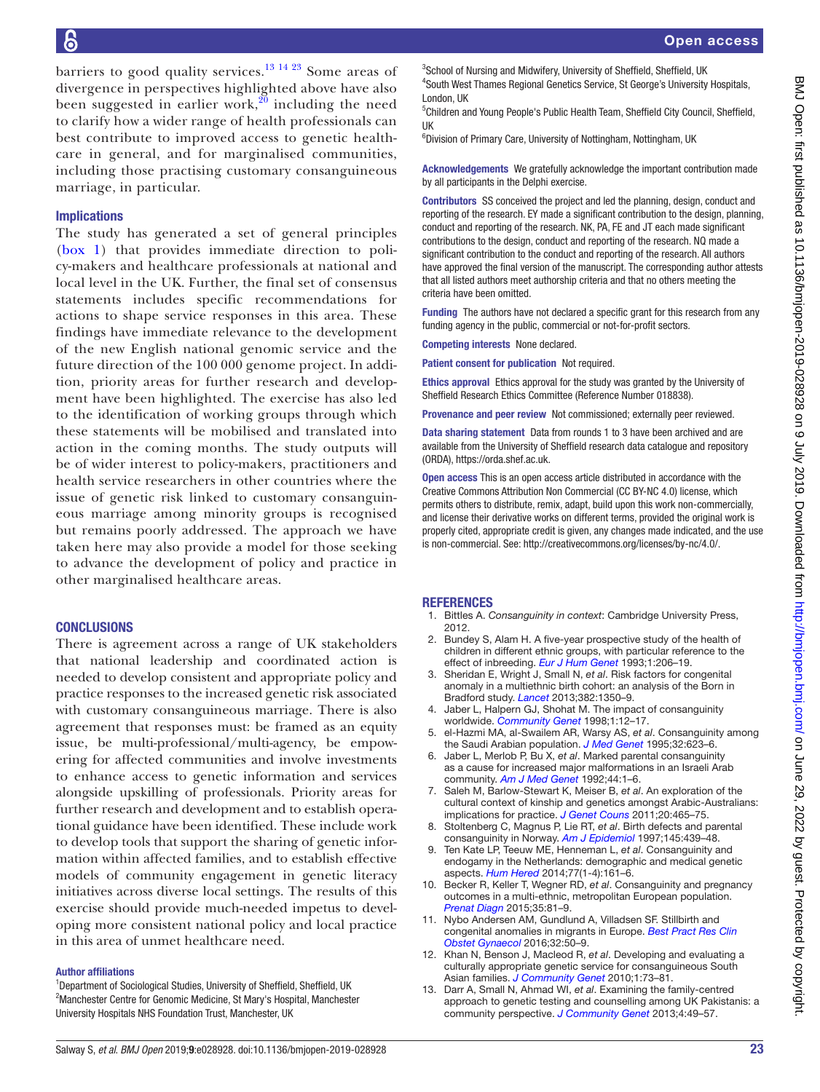barriers to good quality services.<sup>[13 14 23](#page-22-4)</sup> Some areas of divergence in perspectives highlighted above have also been suggested in earlier work,  $\frac{20}{20}$  $\frac{20}{20}$  $\frac{20}{20}$  including the need to clarify how a wider range of health professionals can best contribute to improved access to genetic healthcare in general, and for marginalised communities, including those practising customary consanguineous marriage, in particular.

### Implications

The study has generated a set of general principles ([box](#page-18-0) 1) that provides immediate direction to policy-makers and healthcare professionals at national and local level in the UK. Further, the final set of consensus statements includes specific recommendations for actions to shape service responses in this area. These findings have immediate relevance to the development of the new English national genomic service and the future direction of the 100 000 genome project. In addition, priority areas for further research and development have been highlighted. The exercise has also led to the identification of working groups through which these statements will be mobilised and translated into action in the coming months. The study outputs will be of wider interest to policy-makers, practitioners and health service researchers in other countries where the issue of genetic risk linked to customary consanguineous marriage among minority groups is recognised but remains poorly addressed. The approach we have taken here may also provide a model for those seeking to advance the development of policy and practice in other marginalised healthcare areas.

### **CONCLUSIONS**

There is agreement across a range of UK stakeholders that national leadership and coordinated action is needed to develop consistent and appropriate policy and practice responses to the increased genetic risk associated with customary consanguineous marriage. There is also agreement that responses must: be framed as an equity issue, be multi-professional/multi-agency, be empowering for affected communities and involve investments to enhance access to genetic information and services alongside upskilling of professionals. Priority areas for further research and development and to establish operational guidance have been identified. These include work to develop tools that support the sharing of genetic information within affected families, and to establish effective models of community engagement in genetic literacy initiatives across diverse local settings. The results of this exercise should provide much-needed impetus to developing more consistent national policy and local practice in this area of unmet healthcare need.

#### Author affiliations

<sup>1</sup>Department of Sociological Studies, University of Sheffield, Sheffield, UK <sup>2</sup> Manchester Centre for Genomic Medicine, St Mary's Hospital, Manchester University Hospitals NHS Foundation Trust, Manchester, UK

<sup>3</sup>School of Nursing and Midwifery, University of Sheffield, Sheffield, UK 4 South West Thames Regional Genetics Service, St George's University Hospitals, London, UK

<sup>5</sup>Children and Young People's Public Health Team, Sheffield City Council, Sheffield, UK

6 Division of Primary Care, University of Nottingham, Nottingham, UK

Acknowledgements We gratefully acknowledge the important contribution made by all participants in the Delphi exercise.

Contributors SS conceived the project and led the planning, design, conduct and reporting of the research. EY made a significant contribution to the design, planning, conduct and reporting of the research. NK, PA, FE and JT each made significant contributions to the design, conduct and reporting of the research. NQ made a significant contribution to the conduct and reporting of the research. All authors have approved the final version of the manuscript. The corresponding author attests that all listed authors meet authorship criteria and that no others meeting the criteria have been omitted.

Funding The authors have not declared a specific grant for this research from any funding agency in the public, commercial or not-for-profit sectors.

Competing interests None declared.

Patient consent for publication Not required.

Ethics approval Ethics approval for the study was granted by the University of Sheffield Research Ethics Committee (Reference Number 018838).

Provenance and peer review Not commissioned; externally peer reviewed.

Data sharing statement Data from rounds 1 to 3 have been archived and are available from the University of Sheffield research data catalogue and repository (ORDA),<https://orda.shef.ac.uk>.

Open access This is an open access article distributed in accordance with the Creative Commons Attribution Non Commercial (CC BY-NC 4.0) license, which permits others to distribute, remix, adapt, build upon this work non-commercially, and license their derivative works on different terms, provided the original work is properly cited, appropriate credit is given, any changes made indicated, and the use is non-commercial. See: [http://creativecommons.org/licenses/by-nc/4.0/.](http://creativecommons.org/licenses/by-nc/4.0/)

### **REFERENCES**

- <span id="page-22-0"></span>1. Bittles A. *Consanguinity in context*: Cambridge University Press, 2012.
- 2. Bundey S, Alam H. A five-year prospective study of the health of children in different ethnic groups, with particular reference to the effect of inbreeding. *[Eur J Hum Genet](http://dx.doi.org/10.1159/000472414)* 1993;1:206–19.
- 3. Sheridan E, Wright J, Small N, *et al*. Risk factors for congenital anomaly in a multiethnic birth cohort: an analysis of the Born in Bradford study. *[Lancet](http://dx.doi.org/10.1016/S0140-6736(13)61132-0)* 2013;382:1350–9.
- <span id="page-22-1"></span>4. Jaber L, Halpern GJ, Shohat M. The impact of consanguinity worldwide. *[Community Genet](http://dx.doi.org/10.1159/000016130)* 1998;1:12–17.
- 5. el-Hazmi MA, al-Swailem AR, Warsy AS, *et al*. Consanguinity among the Saudi Arabian population. *[J Med Genet](http://dx.doi.org/10.1136/jmg.32.8.623)* 1995;32:623–6.
- 6. Jaber L, Merlob P, Bu X, *et al*. Marked parental consanguinity as a cause for increased major malformations in an Israeli Arab community. *[Am J Med Genet](http://dx.doi.org/10.1002/ajmg.1320440102)* 1992;44:1–6.
- <span id="page-22-2"></span>7. Saleh M, Barlow-Stewart K, Meiser B, *et al*. An exploration of the cultural context of kinship and genetics amongst Arabic-Australians: implications for practice. *[J Genet Couns](http://dx.doi.org/10.1007/s10897-011-9371-z)* 2011;20:465–75.
- 8. Stoltenberg C, Magnus P, Lie RT, *et al*. Birth defects and parental consanguinity in Norway. *[Am J Epidemiol](http://dx.doi.org/10.1093/oxfordjournals.aje.a009126)* 1997;145:439–48.
- 9. Ten Kate LP, Teeuw ME, Henneman L, *et al*. Consanguinity and endogamy in the Netherlands: demographic and medical genetic aspects. *[Hum Hered](http://dx.doi.org/10.1159/000360761)* 2014;77(1-4):161–6.
- 10. Becker R, Keller T, Wegner RD, *et al*. Consanguinity and pregnancy outcomes in a multi-ethnic, metropolitan European population. *[Prenat Diagn](http://dx.doi.org/10.1002/pd.4487)* 2015;35:81–9.
- 11. Nybo Andersen AM, Gundlund A, Villadsen SF. Stillbirth and congenital anomalies in migrants in Europe. *[Best Pract Res Clin](http://dx.doi.org/10.1016/j.bpobgyn.2015.09.004)  [Obstet Gynaecol](http://dx.doi.org/10.1016/j.bpobgyn.2015.09.004)* 2016;32:50–9.
- <span id="page-22-3"></span>12. Khan N, Benson J, Macleod R, *et al*. Developing and evaluating a culturally appropriate genetic service for consanguineous South Asian families. *[J Community Genet](http://dx.doi.org/10.1007/s12687-010-0012-2)* 2010;1:73–81.
- <span id="page-22-4"></span>13. Darr A, Small N, Ahmad WI, *et al*. Examining the family-centred approach to genetic testing and counselling among UK Pakistanis: a community perspective. *[J Community Genet](http://dx.doi.org/10.1007/s12687-012-0117-x)* 2013;4:49–57.